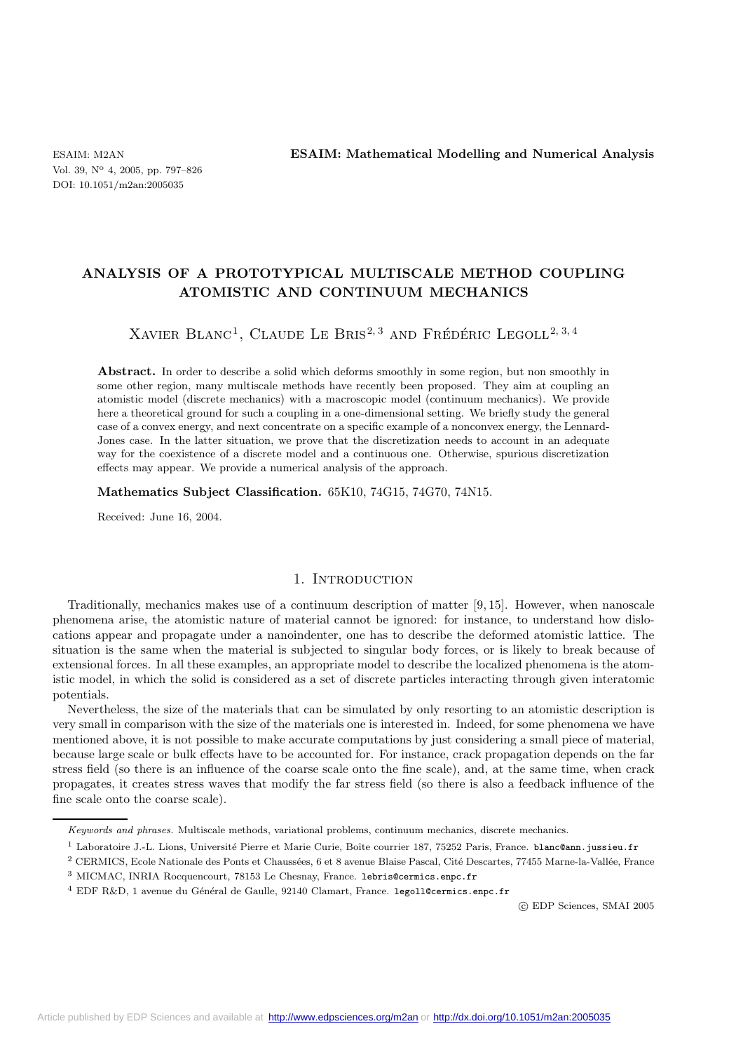# **ANALYSIS OF A PROTOTYPICAL MULTISCALE METHOD COUPLING ATOMISTIC AND CONTINUUM MECHANICS**

# XAVIER BLANC<sup>1</sup>, CLAUDE LE BRIS<sup>2, 3</sup> AND FRÉDÉRIC LEGOLL<sup>2, 3, 4</sup>

Abstract. In order to describe a solid which deforms smoothly in some region, but non smoothly in some other region, many multiscale methods have recently been proposed. They aim at coupling an atomistic model (discrete mechanics) with a macroscopic model (continuum mechanics). We provide here a theoretical ground for such a coupling in a one-dimensional setting. We briefly study the general case of a convex energy, and next concentrate on a specific example of a nonconvex energy, the Lennard-Jones case. In the latter situation, we prove that the discretization needs to account in an adequate way for the coexistence of a discrete model and a continuous one. Otherwise, spurious discretization effects may appear. We provide a numerical analysis of the approach.

#### **Mathematics Subject Classification.** 65K10, 74G15, 74G70, 74N15.

Received: June 16, 2004.

# 1. INTRODUCTION

Traditionally, mechanics makes use of a continuum description of matter [9, 15]. However, when nanoscale phenomena arise, the atomistic nature of material cannot be ignored: for instance, to understand how dislocations appear and propagate under a nanoindenter, one has to describe the deformed atomistic lattice. The situation is the same when the material is subjected to singular body forces, or is likely to break because of extensional forces. In all these examples, an appropriate model to describe the localized phenomena is the atomistic model, in which the solid is considered as a set of discrete particles interacting through given interatomic potentials.

Nevertheless, the size of the materials that can be simulated by only resorting to an atomistic description is very small in comparison with the size of the materials one is interested in. Indeed, for some phenomena we have mentioned above, it is not possible to make accurate computations by just considering a small piece of material, because large scale or bulk effects have to be accounted for. For instance, crack propagation depends on the far stress field (so there is an influence of the coarse scale onto the fine scale), and, at the same time, when crack propagates, it creates stress waves that modify the far stress field (so there is also a feedback influence of the fine scale onto the coarse scale).

<sup>1</sup> Laboratoire J.-L. Lions, Université Pierre et Marie Curie, Boîte courrier 187, 75252 Paris, France. blanc@ann.jussieu.fr

<sup>3</sup> MICMAC, INRIA Rocquencourt, 78153 Le Chesnay, France. lebris@cermics.enpc.fr

c EDP Sciences, SMAI 2005

Keywords and phrases. Multiscale methods, variational problems, continuum mechanics, discrete mechanics.

 $^2$ CERMICS, Ecole Nationale des Ponts et Chaussées, 6 et 8 avenue Blaise Pascal, Cité Descartes, 77455 Marne-la-Vallée, France

<sup>&</sup>lt;sup>4</sup> EDF R&D, 1 avenue du Général de Gaulle, 92140 Clamart, France. legoll@cermics.enpc.fr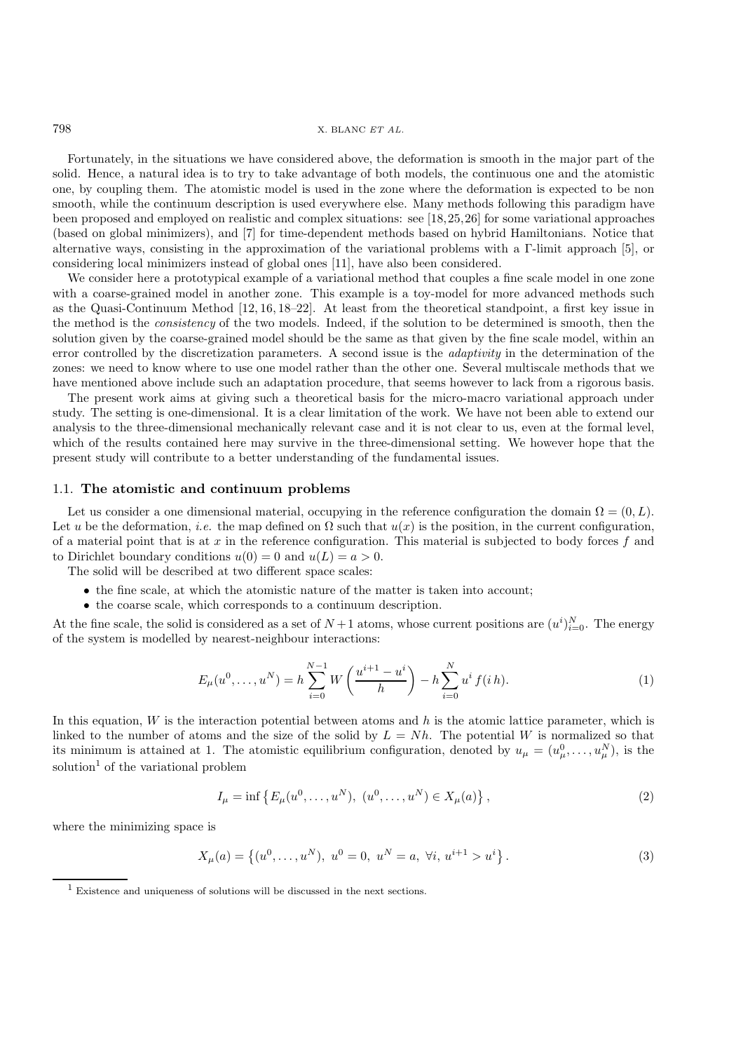#### 798 X. BLANC *ET AL.*

Fortunately, in the situations we have considered above, the deformation is smooth in the major part of the solid. Hence, a natural idea is to try to take advantage of both models, the continuous one and the atomistic one, by coupling them. The atomistic model is used in the zone where the deformation is expected to be non smooth, while the continuum description is used everywhere else. Many methods following this paradigm have been proposed and employed on realistic and complex situations: see [18,25,26] for some variational approaches (based on global minimizers), and [7] for time-dependent methods based on hybrid Hamiltonians. Notice that alternative ways, consisting in the approximation of the variational problems with a Γ-limit approach [5], or considering local minimizers instead of global ones [11], have also been considered.

We consider here a prototypical example of a variational method that couples a fine scale model in one zone with a coarse-grained model in another zone. This example is a toy-model for more advanced methods such as the Quasi-Continuum Method [12, 16, 18–22]. At least from the theoretical standpoint, a first key issue in the method is the *consistency* of the two models. Indeed, if the solution to be determined is smooth, then the solution given by the coarse-grained model should be the same as that given by the fine scale model, within an error controlled by the discretization parameters. A second issue is the *adaptivity* in the determination of the zones: we need to know where to use one model rather than the other one. Several multiscale methods that we have mentioned above include such an adaptation procedure, that seems however to lack from a rigorous basis.

The present work aims at giving such a theoretical basis for the micro-macro variational approach under study. The setting is one-dimensional. It is a clear limitation of the work. We have not been able to extend our analysis to the three-dimensional mechanically relevant case and it is not clear to us, even at the formal level, which of the results contained here may survive in the three-dimensional setting. We however hope that the present study will contribute to a better understanding of the fundamental issues.

## 1.1. **The atomistic and continuum problems**

Let us consider a one dimensional material, occupying in the reference configuration the domain  $\Omega = (0, L)$ . Let u be the deformation, *i.e.* the map defined on  $\Omega$  such that  $u(x)$  is the position, in the current configuration, of a material point that is at x in the reference configuration. This material is subjected to body forces f and to Dirichlet boundary conditions  $u(0) = 0$  and  $u(L) = a > 0$ .

The solid will be described at two different space scales:

- the fine scale, at which the atomistic nature of the matter is taken into account;
- the coarse scale, which corresponds to a continuum description.

At the fine scale, the solid is considered as a set of  $N+1$  atoms, whose current positions are  $(u^i)_{i=0}^N$ . The energy of the system is modelled by nearest-neighbour interactions. of the system is modelled by nearest-neighbour interactions:

$$
E_{\mu}(u^{0},...,u^{N}) = h \sum_{i=0}^{N-1} W\left(\frac{u^{i+1}-u^{i}}{h}\right) - h \sum_{i=0}^{N} u^{i} f(i h).
$$
 (1)

In this equation,  $W$  is the interaction potential between atoms and  $h$  is the atomic lattice parameter, which is linked to the number of atoms and the size of the solid by  $L = Nh$ . The potential W is normalized so that its minimum is attained at 1. The atomistic equilibrium configuration, denoted by  $u_{\mu} = (u_{\mu}^0, \dots, u_{\mu}^N)$ , is the colution of the variational problem solution<sup>1</sup> of the variational problem

$$
I_{\mu} = \inf \{ E_{\mu}(u^0, \dots, u^N), \ (u^0, \dots, u^N) \in X_{\mu}(a) \},\tag{2}
$$

where the minimizing space is

$$
X_{\mu}(a) = \{(u^0, \dots, u^N), \ u^0 = 0, \ u^N = a, \ \forall i, \ u^{i+1} > u^i\}.
$$
 (3)

<sup>1</sup> Existence and uniqueness of solutions will be discussed in the next sections.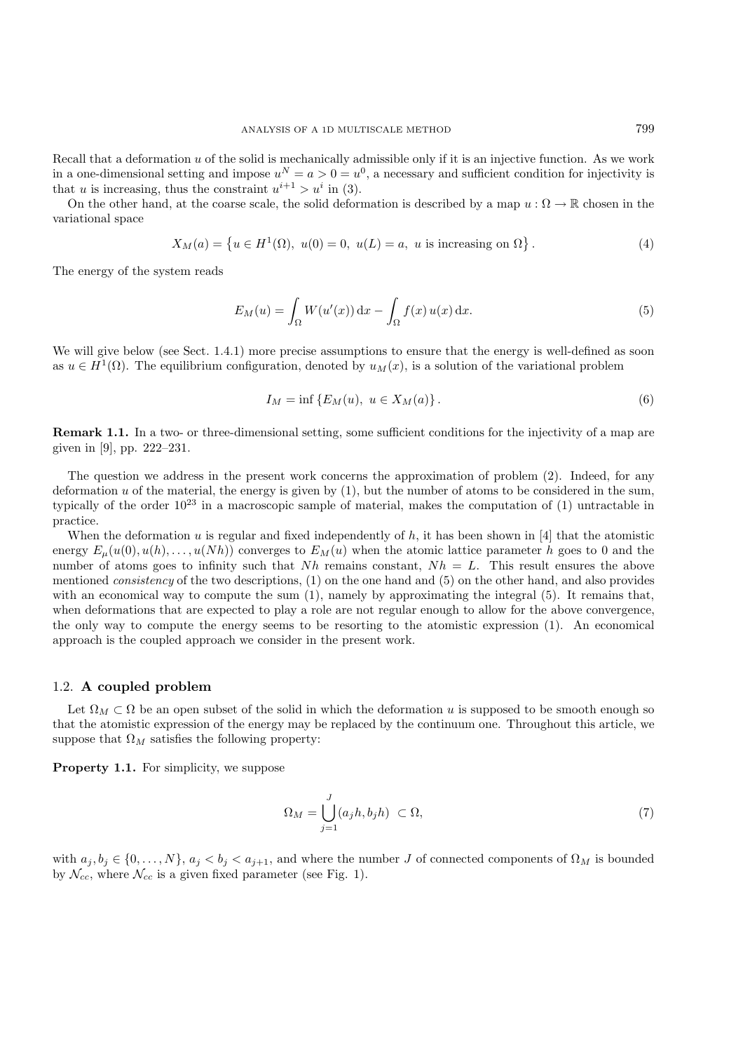Recall that a deformation  $u$  of the solid is mechanically admissible only if it is an injective function. As we work in a one-dimensional setting and impose  $u^N = a > 0 = u^0$ , a necessary and sufficient condition for injectivity is that u is increasing, thus the constraint  $u^{i+1} > u^i$  in (3).

On the other hand, at the coarse scale, the solid deformation is described by a map  $u : \Omega \to \mathbb{R}$  chosen in the variational space

$$
X_M(a) = \{ u \in H^1(\Omega), \ u(0) = 0, \ u(L) = a, \ u \text{ is increasing on } \Omega \}.
$$
 (4)

The energy of the system reads

$$
E_M(u) = \int_{\Omega} W(u'(x)) dx - \int_{\Omega} f(x) u(x) dx.
$$
\n(5)

We will give below (see Sect. 1.4.1) more precise assumptions to ensure that the energy is well-defined as soon as  $u \in H^1(\Omega)$ . The equilibrium configuration, denoted by  $u_M(x)$ , is a solution of the variational problem

$$
I_M = \inf \{ E_M(u), \ u \in X_M(a) \}.
$$
 (6)

**Remark 1.1.** In a two- or three-dimensional setting, some sufficient conditions for the injectivity of a map are given in [9], pp. 222–231.

The question we address in the present work concerns the approximation of problem (2). Indeed, for any deformation u of the material, the energy is given by  $(1)$ , but the number of atoms to be considered in the sum, typically of the order  $10^{23}$  in a macroscopic sample of material, makes the computation of (1) untractable in practice.

When the deformation u is regular and fixed independently of h, it has been shown in [4] that the atomistic energy  $E_{\mu}(u(0), u(h),..., u(Nh))$  converges to  $E_M(u)$  when the atomic lattice parameter h goes to 0 and the number of atoms goes to infinity such that  $Nh$  remains constant,  $Nh = L$ . This result ensures the above mentioned *consistency* of the two descriptions, (1) on the one hand and (5) on the other hand, and also provides with an economical way to compute the sum  $(1)$ , namely by approximating the integral  $(5)$ . It remains that, when deformations that are expected to play a role are not regular enough to allow for the above convergence, the only way to compute the energy seems to be resorting to the atomistic expression (1). An economical approach is the coupled approach we consider in the present work.

#### 1.2. **A coupled problem**

Let  $\Omega_M \subset \Omega$  be an open subset of the solid in which the deformation u is supposed to be smooth enough so that the atomistic expression of the energy may be replaced by the continuum one. Throughout this article, we suppose that  $\Omega_M$  satisfies the following property:

**Property 1.1.** For simplicity, we suppose

$$
\Omega_M = \bigcup_{j=1}^J (a_j h, b_j h) \subset \Omega,\tag{7}
$$

with  $a_j, b_j \in \{0, \ldots, N\}, a_j < b_j < a_{j+1}$ , and where the number J of connected components of  $\Omega_M$  is bounded by  $\mathcal{N}_{cc}$ , where  $\mathcal{N}_{cc}$  is a given fixed parameter (see Fig. 1).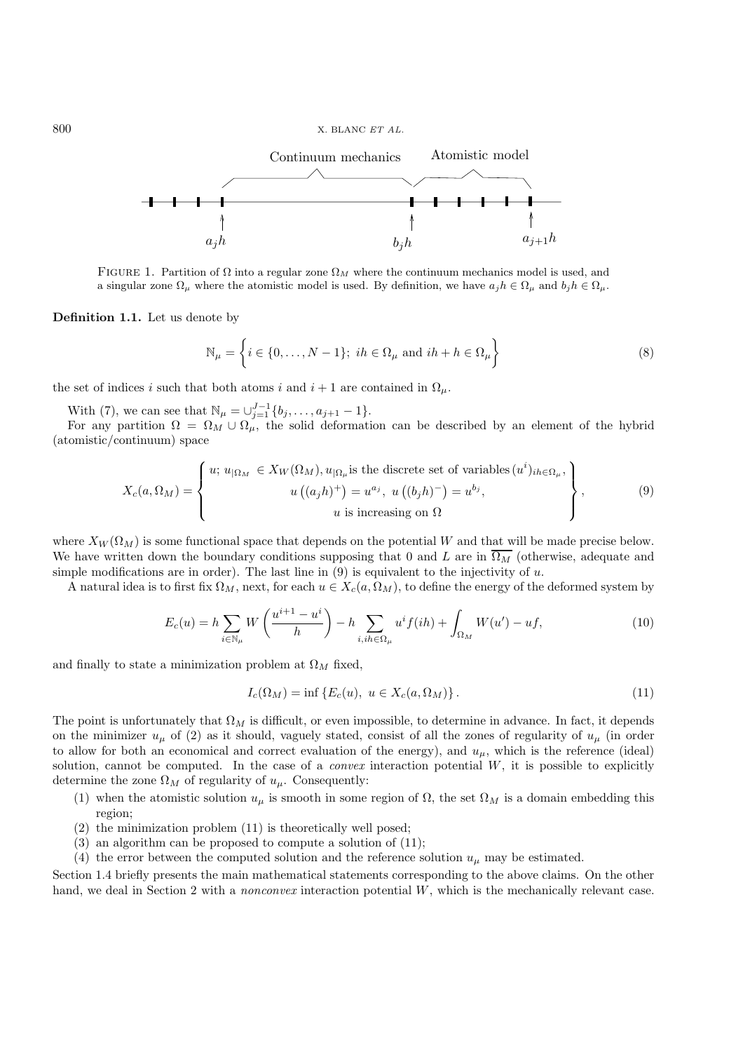

FIGURE 1. Partition of  $\Omega$  into a regular zone  $\Omega_M$  where the continuum mechanics model is used, and a singular zone  $\Omega_{\mu}$  where the atomistic model is used. By definition, we have  $a_j h \in \Omega_{\mu}$  and  $b_j h \in \Omega_{\mu}$ .

**Definition 1.1.** Let us denote by

$$
\mathbb{N}_{\mu} = \left\{ i \in \{0, \dots, N-1\}; \ ih \in \Omega_{\mu} \ \text{and} \ ih + h \in \Omega_{\mu} \right\}
$$
 (8)

the set of indices i such that both atoms i and  $i + 1$  are contained in  $\Omega_{\mu}$ .

With (7), we can see that  $\mathbb{N}_{\mu} = \bigcup_{j=1}^{J-1} \{b_j, \ldots, a_{j+1} - 1\}.$ <br>For any partition  $\Omega = \Omega_{\lambda} + \Omega$  the solid deformation

For any partition  $\Omega = \Omega_M \cup \Omega_\mu$ , the solid deformation can be described by an element of the hybrid (atomistic/continuum) space

$$
X_c(a,\Omega_M) = \begin{cases} u; \ u_{|\Omega_M} \in X_W(\Omega_M), u_{|\Omega_\mu} \text{is the discrete set of variables } (u^i)_{ih \in \Omega_\mu}, \\ u \ ((a_j h)^+) = u^{a_j}, u \ ((b_j h)^-) = u^{b_j}, \\ u \text{ is increasing on } \Omega \end{cases}, \tag{9}
$$

where  $X_W(\Omega_M)$  is some functional space that depends on the potential W and that will be made precise below. We have written down the boundary conditions supposing that 0 and L are in  $\overline{\Omega_M}$  (otherwise, adequate and simple modifications are in order). The last line in  $(9)$  is equivalent to the injectivity of  $u$ .

A natural idea is to first fix  $\Omega_M$ , next, for each  $u \in X_c(a, \Omega_M)$ , to define the energy of the deformed system by

$$
E_c(u) = h \sum_{i \in \mathbb{N}_\mu} W\left(\frac{u^{i+1} - u^i}{h}\right) - h \sum_{i, ih \in \Omega_\mu} u^i f(ih) + \int_{\Omega_M} W(u') - u f,\tag{10}
$$

and finally to state a minimization problem at  $\Omega_M$  fixed,

$$
I_c(\Omega_M) = \inf \{ E_c(u), \ u \in X_c(a, \Omega_M) \}.
$$
\n
$$
(11)
$$

The point is unfortunately that  $\Omega_M$  is difficult, or even impossible, to determine in advance. In fact, it depends on the minimizer  $u_{\mu}$  of (2) as it should, vaguely stated, consist of all the zones of regularity of  $u_{\mu}$  (in order to allow for both an economical and correct evaluation of the energy), and  $u_{\mu}$ , which is the reference (ideal) solution, cannot be computed. In the case of a *convex* interaction potential  $W$ , it is possible to explicitly determine the zone  $\Omega_M$  of regularity of  $u_\mu$ . Consequently:

- (1) when the atomistic solution  $u_{\mu}$  is smooth in some region of  $\Omega$ , the set  $\Omega_M$  is a domain embedding this region;
- (2) the minimization problem (11) is theoretically well posed;
- (3) an algorithm can be proposed to compute a solution of (11);
- (4) the error between the computed solution and the reference solution  $u_{\mu}$  may be estimated.

Section 1.4 briefly presents the main mathematical statements corresponding to the above claims. On the other hand, we deal in Section 2 with a *nonconvex* interaction potential W, which is the mechanically relevant case.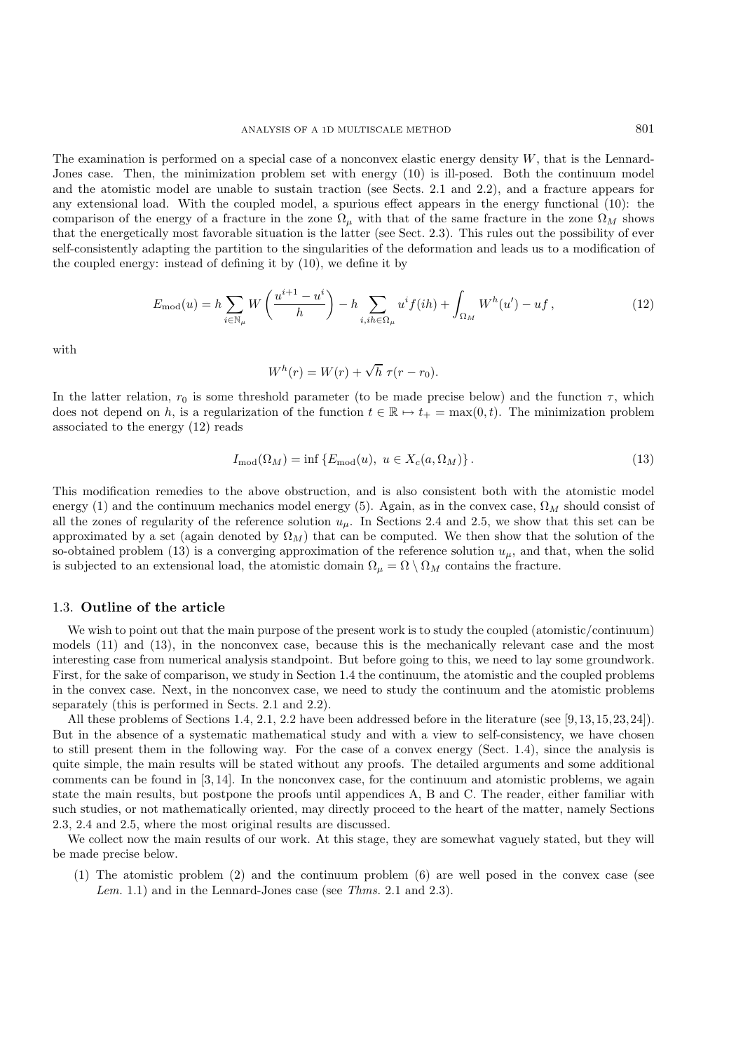The examination is performed on a special case of a nonconvex elastic energy density  $W$ , that is the Lennard-Jones case. Then, the minimization problem set with energy (10) is ill-posed. Both the continuum model and the atomistic model are unable to sustain traction (see Sects. 2.1 and 2.2), and a fracture appears for any extensional load. With the coupled model, a spurious effect appears in the energy functional (10): the comparison of the energy of a fracture in the zone  $\Omega_{\mu}$  with that of the same fracture in the zone  $\Omega_M$  shows that the energetically most favorable situation is the latter (see Sect. 2.3). This rules out the possibility of ever self-consistently adapting the partition to the singularities of the deformation and leads us to a modification of the coupled energy: instead of defining it by (10), we define it by

$$
E_{\text{mod}}(u) = h \sum_{i \in \mathbb{N}_{\mu}} W\left(\frac{u^{i+1} - u^i}{h}\right) - h \sum_{i, ih \in \Omega_{\mu}} u^i f(ih) + \int_{\Omega_M} W^h(u') - u f,
$$
\n(12)

with

$$
W^h(r) = W(r) + \sqrt{h} \ \tau(r - r_0).
$$

In the latter relation,  $r_0$  is some threshold parameter (to be made precise below) and the function  $\tau$ , which does not depend on h, is a regularization of the function  $t \in \mathbb{R} \mapsto t_+ = \max(0, t)$ . The minimization problem associated to the energy (12) reads

$$
I_{\text{mod}}(\Omega_M) = \inf \{ E_{\text{mod}}(u), \ u \in X_c(a, \Omega_M) \}.
$$
 (13)

This modification remedies to the above obstruction, and is also consistent both with the atomistic model energy (1) and the continuum mechanics model energy (5). Again, as in the convex case,  $\Omega_M$  should consist of all the zones of regularity of the reference solution  $u_{\mu}$ . In Sections 2.4 and 2.5, we show that this set can be approximated by a set (again denoted by  $\Omega_M$ ) that can be computed. We then show that the solution of the so-obtained problem (13) is a converging approximation of the reference solution  $u_{\mu}$ , and that, when the solid is subjected to an extensional load, the atomistic domain  $\Omega_{\mu} = \Omega \setminus \Omega_M$  contains the fracture.

## 1.3. **Outline of the article**

We wish to point out that the main purpose of the present work is to study the coupled (atomistic/continuum) models (11) and (13), in the nonconvex case, because this is the mechanically relevant case and the most interesting case from numerical analysis standpoint. But before going to this, we need to lay some groundwork. First, for the sake of comparison, we study in Section 1.4 the continuum, the atomistic and the coupled problems in the convex case. Next, in the nonconvex case, we need to study the continuum and the atomistic problems separately (this is performed in Sects. 2.1 and 2.2).

All these problems of Sections 1.4, 2.1, 2.2 have been addressed before in the literature (see [9,13,15,23,24]). But in the absence of a systematic mathematical study and with a view to self-consistency, we have chosen to still present them in the following way. For the case of a convex energy (Sect. 1.4), since the analysis is quite simple, the main results will be stated without any proofs. The detailed arguments and some additional comments can be found in [3, 14]. In the nonconvex case, for the continuum and atomistic problems, we again state the main results, but postpone the proofs until appendices A, B and C. The reader, either familiar with such studies, or not mathematically oriented, may directly proceed to the heart of the matter, namely Sections 2.3, 2.4 and 2.5, where the most original results are discussed.

We collect now the main results of our work. At this stage, they are somewhat vaguely stated, but they will be made precise below.

(1) The atomistic problem (2) and the continuum problem (6) are well posed in the convex case (see *Lem.* 1.1) and in the Lennard-Jones case (see *Thms.* 2.1 and 2.3).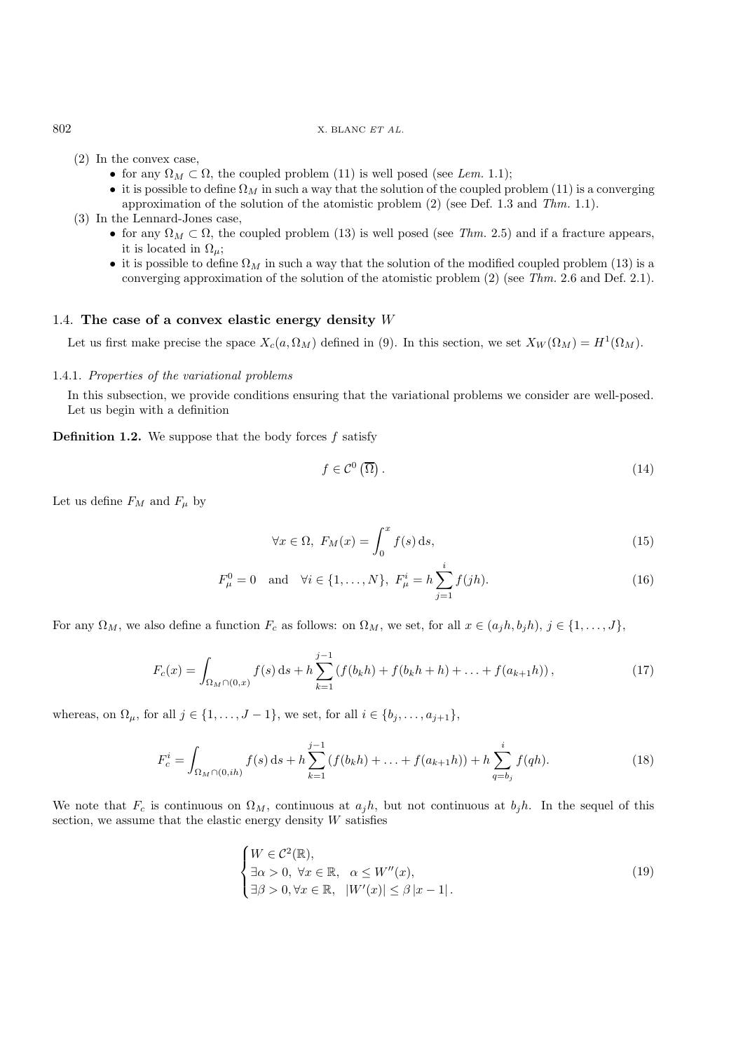## 802 X. BLANC *ET AL.*

- (2) In the convex case,
	- for any  $\Omega_M \subset \Omega$ , the coupled problem (11) is well posed (see *Lem.* 1.1);
	- it is possible to define  $\Omega_M$  in such a way that the solution of the coupled problem (11) is a converging approximation of the solution of the atomistic problem (2) (see Def. 1.3 and *Thm.* 1.1).
- (3) In the Lennard-Jones case,
	- for any  $\Omega_M \subset \Omega$ , the coupled problem (13) is well posed (see *Thm.* 2.5) and if a fracture appears, it is located in  $\Omega_{\mu}$ ;
	- it is possible to define  $\Omega_M$  in such a way that the solution of the modified coupled problem (13) is a converging approximation of the solution of the atomistic problem (2) (see *Thm.* 2.6 and Def. 2.1).

# 1.4. **The case of a convex elastic energy density** W

Let us first make precise the space  $X_c(a, \Omega_M)$  defined in (9). In this section, we set  $X_W(\Omega_M) = H^1(\Omega_M)$ .

## 1.4.1. *Properties of the variational problems*

In this subsection, we provide conditions ensuring that the variational problems we consider are well-posed. Let us begin with a definition

**Definition 1.2.** We suppose that the body forces  $f$  satisfy

$$
f \in \mathcal{C}^0(\overline{\Omega}).\tag{14}
$$

Let us define  $F_M$  and  $F_\mu$  by

$$
\forall x \in \Omega, \ F_M(x) = \int_0^x f(s) \, ds,\tag{15}
$$

$$
F_{\mu}^{0} = 0
$$
 and  $\forall i \in \{1, ..., N\}, F_{\mu}^{i} = h \sum_{j=1}^{i} f(jh).$  (16)

For any  $\Omega_M$ , we also define a function  $F_c$  as follows: on  $\Omega_M$ , we set, for all  $x \in (a_jh, b_jh), j \in \{1, \ldots, J\}$ ,

$$
F_c(x) = \int_{\Omega_M \cap (0,x)} f(s) \, ds + h \sum_{k=1}^{j-1} \left( f(b_k h) + f(b_k h + h) + \ldots + f(a_{k+1} h) \right),\tag{17}
$$

whereas, on  $\Omega_{\mu}$ , for all  $j \in \{1, \ldots, J-1\}$ , we set, for all  $i \in \{b_j, \ldots, a_{j+1}\}$ ,

$$
F_c^i = \int_{\Omega_M \cap (0, ih)} f(s) \, ds + h \sum_{k=1}^{j-1} \left( f(b_k h) + \ldots + f(a_{k+1} h) \right) + h \sum_{q=b_j}^i f(q h). \tag{18}
$$

We note that  $F_c$  is continuous on  $\Omega_M$ , continuous at  $a_j h$ , but not continuous at  $b_j h$ . In the sequel of this section, we assume that the elastic energy density  $W$  satisfies

$$
\begin{cases} W \in \mathcal{C}^2(\mathbb{R}), \\ \exists \alpha > 0, \forall x \in \mathbb{R}, \quad \alpha \le W''(x), \\ \exists \beta > 0, \forall x \in \mathbb{R}, \quad |W'(x)| \le \beta |x - 1| \,. \end{cases} \tag{19}
$$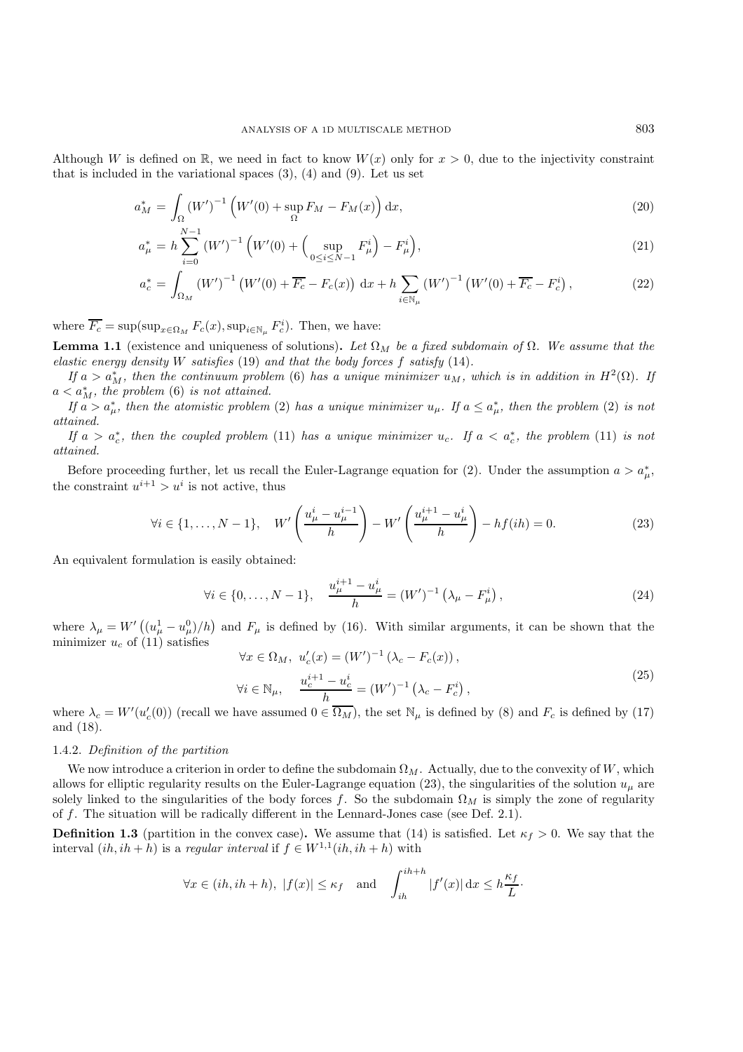Although W is defined on R, we need in fact to know  $W(x)$  only for  $x > 0$ , due to the injectivity constraint that is included in the variational spaces  $(3)$ ,  $(4)$  and  $(9)$ . Let us set

$$
a_M^* = \int_{\Omega} \left( W' \right)^{-1} \left( W'(0) + \sup_{\Omega} F_M - F_M(x) \right) \mathrm{d}x,\tag{20}
$$

$$
a_{\mu}^{*} = h \sum_{i=0}^{N-1} (W')^{-1} \left( W'(0) + \left( \sup_{0 \le i \le N-1} F_{\mu}^{i} \right) - F_{\mu}^{i} \right), \tag{21}
$$

$$
a_c^* = \int_{\Omega_M} \left( W' \right)^{-1} \left( W'(0) + \overline{F_c} - F_c(x) \right) \, \mathrm{d}x + h \sum_{i \in \mathbb{N}_\mu} \left( W' \right)^{-1} \left( W'(0) + \overline{F_c} - F_c^i \right),\tag{22}
$$

where  $\overline{F_c} = \sup(\sup_{x \in \Omega_M} F_c(x), \sup_{i \in \mathbb{N}_\mu} F_c^i)$ . Then, we have:

**Lemma 1.1** (existence and uniqueness of solutions). Let  $\Omega_M$  be a fixed subdomain of  $\Omega$ . We assume that the *elastic energy density* W *satisfies* (19) *and that the body forces* f *satisfy* (14)*.*

*If*  $a > a^*_{M}$ , then the continuum problem (6) has a unique minimizer  $u_M$ , which is in addition in  $H^2(\Omega)$ . If  $a < a^*_{M}$ , the problem (6) is not attained.<br>  $a^*_{M} > a^*$  then the atomistic problem

*If*  $a > a_{\mu}^{*}$ , then the atomistic problem (2) has a unique minimizer  $u_{\mu}$ . *If*  $a \le a_{\mu}^{*}$ , then the problem (2) *is not* and *attained.*

*If*  $a > a_c^*$ , then the coupled problem (11) has a unique minimizer  $u_c$ . If  $a < a_c^*$ , the problem (11) is not *attained.*

Before proceeding further, let us recall the Euler-Lagrange equation for (2). Under the assumption  $a > a^*_{\mu}$ , the constraint  $u^{i+1} > u^i$  is not active, thus

$$
\forall i \in \{1, ..., N-1\}, \quad W' \left(\frac{u^i_\mu - u^{i-1}_\mu}{h}\right) - W' \left(\frac{u^{i+1}_\mu - u^i_\mu}{h}\right) - h f(ih) = 0. \tag{23}
$$

An equivalent formulation is easily obtained:

$$
\forall i \in \{0, \dots, N-1\}, \quad \frac{u_{\mu}^{i+1} - u_{\mu}^i}{h} = (W')^{-1} \left(\lambda_{\mu} - F_{\mu}^i\right), \tag{24}
$$

where  $\lambda_{\mu} = W'((u_{\mu}^1 - u_{\mu}^0)/h)$  and  $F_{\mu}$  is defined by (16). With similar arguments, it can be shown that the minimizer  $u_{\mu}$  of (11) satisfies minimizer  $u_c$  of (11) satisfies

$$
\forall x \in \Omega_M, \ u_c'(x) = (W')^{-1} (\lambda_c - F_c(x)),
$$
  
\n
$$
\forall i \in \mathbb{N}_{\mu}, \quad \frac{u_c^{i+1} - u_c^i}{h} = (W')^{-1} (\lambda_c - F_c^i),
$$
  
\nhave assumed  $0 \in \overline{\Omega_{\mathcal{M}}}$  the set  $\mathbb{N}$  is defined by (8) and  $F$  is defined by (17)

where  $\lambda_c = W'(u'_c(0))$  (recall we have assumed  $0 \in \overline{\Omega_M}$ ), the set  $\mathbb{N}_{\mu}$  is defined by (8) and  $F_c$  is defined by (17) and (18).

#### 1.4.2. *Definition of the partition*

We now introduce a criterion in order to define the subdomain  $\Omega_M$ . Actually, due to the convexity of W, which allows for elliptic regularity results on the Euler-Lagrange equation (23), the singularities of the solution  $u_{\mu}$  are solely linked to the singularities of the body forces f. So the subdomain  $\Omega_M$  is simply the zone of regularity of f. The situation will be radically different in the Lennard-Jones case (see Def. 2.1).

**Definition 1.3** (partition in the convex case). We assume that (14) is satisfied. Let  $\kappa_f > 0$ . We say that the interval  $(ih, ih+h)$  is a *regular interval* if  $f \in W^{1,1}(ih, ih+h)$  with

$$
\forall x \in (ih, ih + h), \ |f(x)| \le \kappa_f \quad \text{and} \quad \int_{ih}^{ih+h} |f'(x)| dx \le h\frac{\kappa_f}{L}.
$$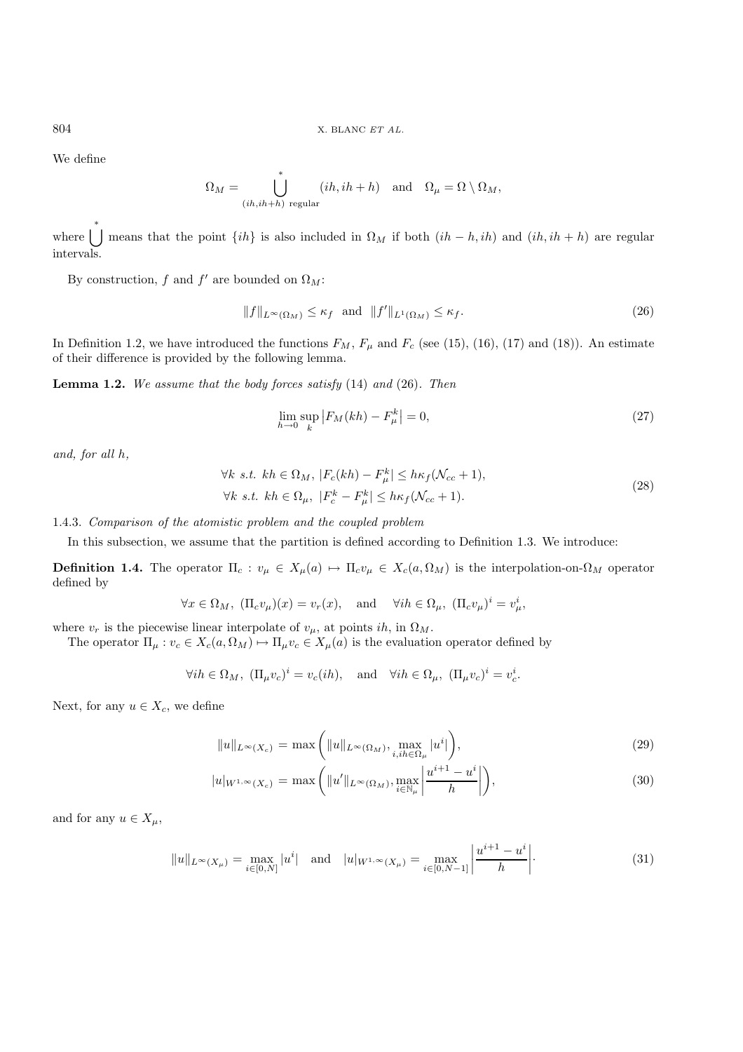We define

$$
\Omega_M = \bigcup_{(ih, ih+h) \text{ regular}}^* (ih, ih+h) \text{ and } \Omega_\mu = \Omega \setminus \Omega_M,
$$

where  $\bigcup_{k=1}^{k}$  means that the point  $\{ih\}$  is also included in  $\Omega_M$  if both  $(ih-h, ih)$  and  $(ih, ih+h)$  are regular intervals.

By construction, f and f' are bounded on  $\Omega_M$ :

$$
||f||_{L^{\infty}(\Omega_M)} \leq \kappa_f \text{ and } ||f'||_{L^1(\Omega_M)} \leq \kappa_f. \tag{26}
$$

In Definition 1.2, we have introduced the functions  $F_M$ ,  $F_\mu$  and  $F_c$  (see (15), (16), (17) and (18)). An estimate of their difference is provided by the following lemma.

**Lemma 1.2.** *We assume that the body forces satisfy* (14) *and* (26)*. Then*

$$
\lim_{h \to 0} \sup_{k} |F_M(kh) - F_{\mu}^k| = 0,
$$
\n(27)

*and, for all* h*,*

$$
\forall k \ s.t. \ kh \in \Omega_M, \ |F_c(kh) - F_{\mu}^k| \le h\kappa_f(\mathcal{N}_{cc} + 1),
$$
  

$$
\forall k \ s.t. \ kh \in \Omega_{\mu}, \ |F_c^k - F_{\mu}^k| \le h\kappa_f(\mathcal{N}_{cc} + 1).
$$
 (28)

1.4.3. *Comparison of the atomistic problem and the coupled problem*

In this subsection, we assume that the partition is defined according to Definition 1.3. We introduce:

**Definition 1.4.** The operator  $\Pi_c: v_\mu \in X_\mu(a) \mapsto \Pi_c v_\mu \in X_c(a, \Omega_M)$  is the interpolation-on- $\Omega_M$  operator defined by

$$
\forall x \in \Omega_M, \ (\Pi_c v_\mu)(x) = v_r(x), \text{ and } \forall i h \in \Omega_\mu, \ (\Pi_c v_\mu)^i = v_\mu^i,
$$

where  $v_r$  is the piecewise linear interpolate of  $v_\mu$ , at points ih, in  $\Omega_M$ .

The operator  $\Pi_{\mu}: v_c \in X_c(a, \Omega_M) \mapsto \Pi_{\mu}v_c \in X_{\mu}(a)$  is the evaluation operator defined by

$$
\forall i h \in \Omega_M, \ (\Pi_\mu v_c)^i = v_c(ih), \text{ and } \forall i h \in \Omega_\mu, \ (\Pi_\mu v_c)^i = v_c^i.
$$

Next, for any  $u \in X_c$ , we define

$$
||u||_{L^{\infty}(X_c)} = \max\left(||u||_{L^{\infty}(\Omega_M)}, \max_{i,ih \in \Omega_\mu} |u^i|\right),\tag{29}
$$

$$
|u|_{W^{1,\infty}(X_c)} = \max\left(\|u'\|_{L^{\infty}(\Omega_M)}, \max_{i \in \mathbb{N}_\mu} \left|\frac{u^{i+1} - u^i}{h}\right|\right),\tag{30}
$$

and for any  $u \in X_\mu$ ,

$$
||u||_{L^{\infty}(X_{\mu})} = \max_{i \in [0,N]} |u^i| \text{ and } |u|_{W^{1,\infty}(X_{\mu})} = \max_{i \in [0,N-1]} \left| \frac{u^{i+1} - u^i}{h} \right|.
$$
 (31)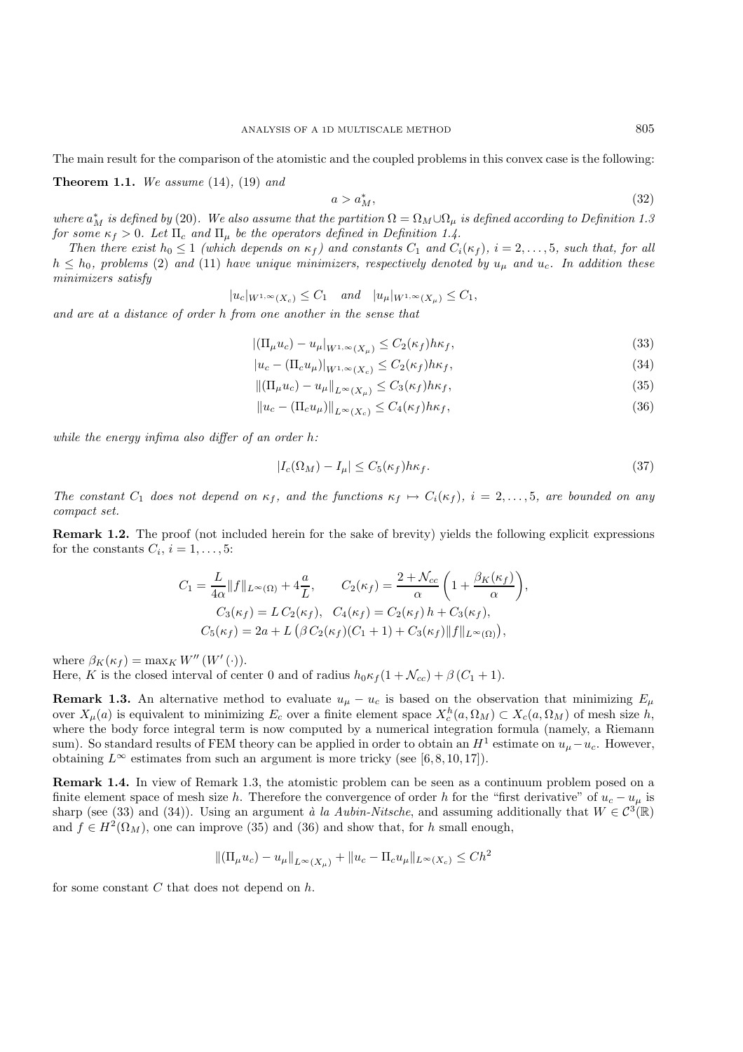The main result for the comparison of the atomistic and the coupled problems in this convex case is the following:

**Theorem 1.1.** *We assume* (14)*,* (19) *and*

$$
a > a_M^*,\tag{32}
$$

*where*  $a_M^*$  *is defined by* (20). We also assume that the partition  $\Omega = \Omega_M \cup \Omega_\mu$  *is defined according to Definition 1.3*<br>for some  $\kappa \geq 0$ , Let  $\Pi$ , and  $\Pi$ , be the operators defined in Definition 1.1. *for some*  $\kappa_f > 0$ *. Let*  $\Pi_c$  *and*  $\Pi_u$  *be the operators defined in Definition 1.4.* 

*Then there exist*  $h_0 \leq 1$  *(which depends on*  $\kappa_f$ *) and constants*  $C_1$  *and*  $C_i(\kappa_f)$ *, i* = 2,..., 5*, such that, for all*  $h \leq h_0$ , problems (2) and (11) have unique minimizers, respectively denoted by  $u_\mu$  and  $u_c$ . In addition these *minimizers satisfy*

$$
|u_c|_{W^{1,\infty}(X_c)} \leq C_1 \quad \text{and} \quad |u_\mu|_{W^{1,\infty}(X_\mu)} \leq C_1,
$$

*and are at a distance of order* h *from one another in the sense that*

$$
|(\Pi_{\mu}u_c) - u_{\mu}|_{W^{1,\infty}(X_{\mu})} \le C_2(\kappa_f)h\kappa_f,
$$
\n(33)

$$
|u_c - (\Pi_c u_\mu)|_{W^{1,\infty}(X_c)} \le C_2(\kappa_f) h \kappa_f,
$$
\n(34)

$$
\|(\Pi_{\mu}u_c) - u_{\mu}\|_{L^{\infty}(X_{\mu})} \le C_3(\kappa_f)h\kappa_f,
$$
\n(35)

$$
||u_c - (\Pi_c u_\mu)||_{L^\infty(X_c)} \le C_4(\kappa_f) h \kappa_f,
$$
\n(36)

*while the energy infima also differ of an order* h*:*

$$
|I_c(\Omega_M) - I_\mu| \le C_5(\kappa_f) h \kappa_f. \tag{37}
$$

*The constant*  $C_1$  *does not depend on*  $\kappa_f$ *, and the functions*  $\kappa_f \mapsto C_i(\kappa_f)$ *, i* = 2,..., 5*, are bounded on any compact set.*

**Remark 1.2.** The proof (not included herein for the sake of brevity) yields the following explicit expressions for the constants  $C_i$ ,  $i = 1, \ldots, 5$ :

$$
C_1 = \frac{L}{4\alpha} ||f||_{L^{\infty}(\Omega)} + 4\frac{a}{L}, \qquad C_2(\kappa_f) = \frac{2 + \mathcal{N}_{cc}}{\alpha} \left(1 + \frac{\beta_K(\kappa_f)}{\alpha}\right),
$$
  

$$
C_3(\kappa_f) = L C_2(\kappa_f), \quad C_4(\kappa_f) = C_2(\kappa_f) h + C_3(\kappa_f),
$$
  

$$
C_5(\kappa_f) = 2a + L \left(\beta C_2(\kappa_f)(C_1 + 1) + C_3(\kappa_f) ||f||_{L^{\infty}(\Omega)}\right),
$$

where  $\beta_K(\kappa_f) = \max_K W''(W'(\cdot)).$ 

Here, K is the closed interval of center 0 and of radius  $h_0 \kappa_f (1 + \mathcal{N}_{cc}) + \beta (C_1 + 1)$ .

**Remark 1.3.** An alternative method to evaluate  $u_{\mu} - u_c$  is based on the observation that minimizing  $E_{\mu}$ over  $X_\mu(a)$  is equivalent to minimizing  $E_c$  over a finite element space  $X_c^h(a, \Omega_M) \subset X_c(a, \Omega_M)$  of mesh size h, where the body force integral term is now computed by a numerical integration formula (namely a Biemann where the body force integral term is now computed by a numerical integration formula (namely, a Riemann sum). So standard results of FEM theory can be applied in order to obtain an  $H^1$  estimate on  $u_\mu-u_c$ . However, obtaining  $L^{\infty}$  estimates from such an argument is more tricky (see [6,8,10,17]).

**Remark 1.4.** In view of Remark 1.3, the atomistic problem can be seen as a continuum problem posed on a finite element space of mesh size h. Therefore the convergence of order h for the "first derivative" of  $u_c - u_{\mu}$  is sharp (see (33) and (34)). Using an argument  $\hat{a}$  la Aubin-Nitsche, and assuming additionally that  $W \in C^3(\mathbb{R})$ and  $f \in H^2(\Omega_M)$ , one can improve (35) and (36) and show that, for h small enough,

$$
\|(\Pi_{\mu}u_c) - u_{\mu}\|_{L^{\infty}(X_{\mu})} + \|u_c - \Pi_c u_{\mu}\|_{L^{\infty}(X_c)} \leq Ch^2
$$

for some constant  $C$  that does not depend on  $h$ .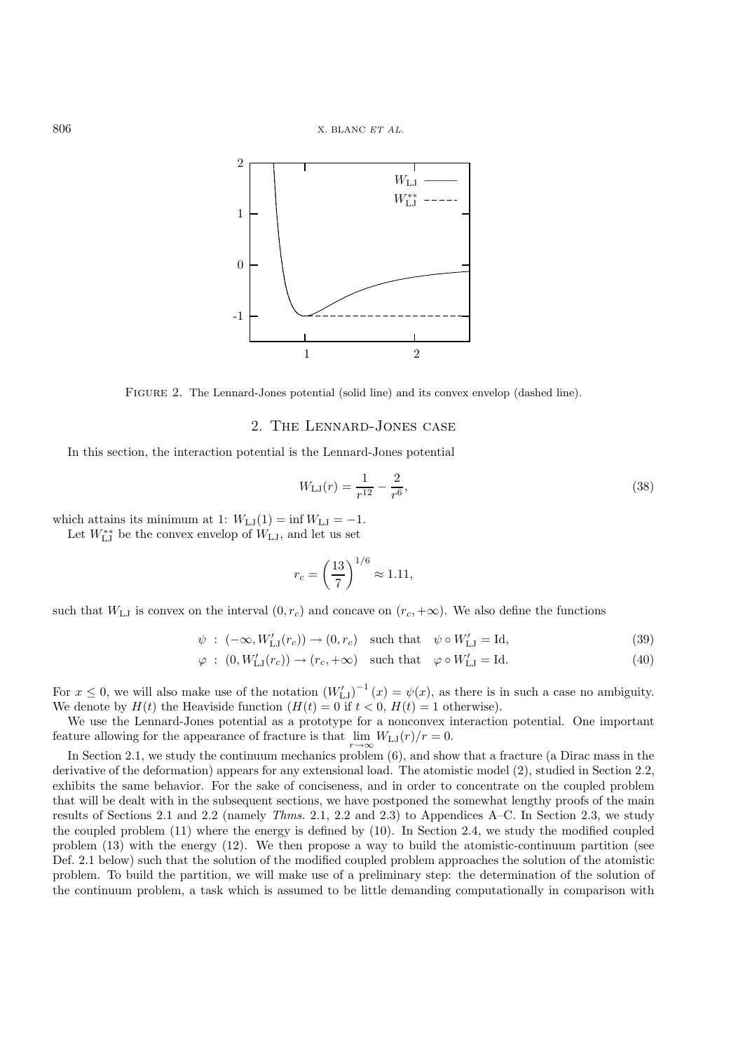

Figure 2. The Lennard-Jones potential (solid line) and its convex envelop (dashed line).

# 2. The Lennard-Jones case

In this section, the interaction potential is the Lennard-Jones potential

$$
W_{\text{LJ}}(r) = \frac{1}{r^{12}} - \frac{2}{r^6},\tag{38}
$$

which attains its minimum at 1:  $W_{LJ}(1) = \inf W_{LJ} = -1$ .

Let  $W_{\text{LJ}}^{**}$  be the convex envelop of  $W_{\text{LJ}}$ , and let us set

$$
r_c = \left(\frac{13}{7}\right)^{1/6} \approx 1.11,
$$

such that  $W_{\text{LJ}}$  is convex on the interval  $(0, r_c)$  and concave on  $(r_c, +\infty)$ . We also define the functions

$$
\psi : (-\infty, W'_{LJ}(r_c)) \to (0, r_c) \quad \text{such that} \quad \psi \circ W'_{LJ} = \text{Id}, \tag{39}
$$

$$
\varphi : (0, W'_{\mathbf{LJ}}(r_c)) \to (r_c, +\infty) \quad \text{such that} \quad \varphi \circ W'_{\mathbf{LJ}} = \text{Id}.\tag{40}
$$

For  $x \le 0$ , we will also make use of the notation  $(W'_{LJ})^{-1}(x) = \psi(x)$ , as there is in such a case no ambiguity.<br>We denote by  $H(t)$  the Heaviside function  $(H(t) - 0$  if  $t < 0$ ,  $H(t) - 1$  otherwise) We denote by  $H(t)$  the Heaviside function  $(H(t) = 0$  if  $t < 0$ ,  $H(t) = 1$  otherwise).<br>We use the Lennard-Jones potential as a prototype for a ponconvex interaction

We use the Lennard-Jones potential as a prototype for a nonconvex interaction potential. One important feature allowing for the appearance of fracture is that  $\lim_{r\to\infty} W_{LJ}(r)/r = 0$ .<br>In Section 2.1, we study the continuum mechanics  $\text{probability}(\beta)$  and show

In Section 2.1, we study the continuum mechanics problem (6), and show that a fracture (a Dirac mass in the derivative of the deformation) appears for any extensional load. The atomistic model (2), studied in Section 2.2, exhibits the same behavior. For the sake of conciseness, and in order to concentrate on the coupled problem that will be dealt with in the subsequent sections, we have postponed the somewhat lengthy proofs of the main results of Sections 2.1 and 2.2 (namely *Thms.* 2.1, 2.2 and 2.3) to Appendices A–C. In Section 2.3, we study the coupled problem (11) where the energy is defined by (10). In Section 2.4, we study the modified coupled problem (13) with the energy (12). We then propose a way to build the atomistic-continuum partition (see Def. 2.1 below) such that the solution of the modified coupled problem approaches the solution of the atomistic problem. To build the partition, we will make use of a preliminary step: the determination of the solution of the continuum problem, a task which is assumed to be little demanding computationally in comparison with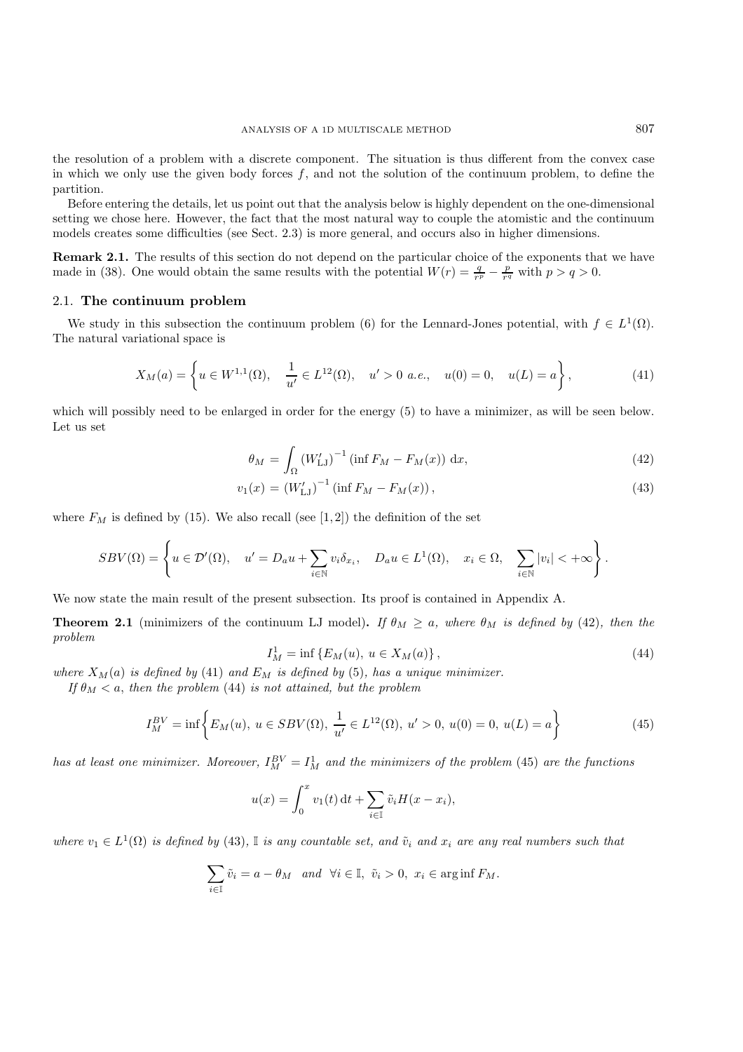the resolution of a problem with a discrete component. The situation is thus different from the convex case in which we only use the given body forces  $f$ , and not the solution of the continuum problem, to define the partition.

Before entering the details, let us point out that the analysis below is highly dependent on the one-dimensional setting we chose here. However, the fact that the most natural way to couple the atomistic and the continuum models creates some difficulties (see Sect. 2.3) is more general, and occurs also in higher dimensions.

**Remark 2.1.** The results of this section do not depend on the particular choice of the exponents that we have made in (38). One would obtain the same results with the potential  $W(r) = \frac{q}{r^p} - \frac{p}{r^q}$  with  $p > q > 0$ .

#### 2.1. **The continuum problem**

We study in this subsection the continuum problem (6) for the Lennard-Jones potential, with  $f \in L^1(\Omega)$ . The natural variational space is

$$
X_M(a) = \left\{ u \in W^{1,1}(\Omega), \quad \frac{1}{u'} \in L^{12}(\Omega), \quad u' > 0 \text{ a.e., } u(0) = 0, \quad u(L) = a \right\},\tag{41}
$$

which will possibly need to be enlarged in order for the energy (5) to have a minimizer, as will be seen below. Let us set

$$
\theta_M = \int_{\Omega} \left( W'_{\text{LJ}} \right)^{-1} \left( \inf F_M - F_M(x) \right) \, \mathrm{d}x,\tag{42}
$$

$$
v_1(x) = (W'_{LJ})^{-1} (\inf F_M - F_M(x)), \qquad (43)
$$

where  $F_M$  is defined by (15). We also recall (see [1,2]) the definition of the set

$$
SBV(\Omega) = \left\{ u \in \mathcal{D}'(\Omega), \quad u' = D_a u + \sum_{i \in \mathbb{N}} v_i \delta_{x_i}, \quad D_a u \in L^1(\Omega), \quad x_i \in \Omega, \quad \sum_{i \in \mathbb{N}} |v_i| < +\infty \right\}.
$$

We now state the main result of the present subsection. Its proof is contained in Appendix A.

**Theorem 2.1** (minimizers of the continuum LJ model). If  $\theta_M \geq a$ , where  $\theta_M$  is defined by (42), then the *problem*

$$
I_M^1 = \inf \{ E_M(u), \ u \in X_M(a) \},\tag{44}
$$

*where*  $X_M(a)$  *is defined by* (41) *and*  $E_M$  *is defined by* (5)*, has a unique minimizer.*<br>*If*  $\theta_M \leq a$ , then the problem (44) *is not attained by* the problem

*If*  $\theta_M < a$ , then the problem (44) *is not attained, but the problem* 

$$
I_M^{BV} = \inf \left\{ E_M(u), \ u \in SBV(\Omega), \ \frac{1}{u'} \in L^{12}(\Omega), \ u' > 0, \ u(0) = 0, \ u(L) = a \right\} \tag{45}
$$

*has at least one minimizer. Moreover,*  $I_M^{BV} = I_M^1$  *and the minimizers of the problem* (45) *are the functions* 

$$
u(x) = \int_0^x v_1(t) dt + \sum_{i \in \mathbb{I}} \tilde{v}_i H(x - x_i),
$$

*where*  $v_1 \in L^1(\Omega)$  *is defined by* (43), I *is any countable set, and*  $\tilde{v}_i$  *and*  $x_i$  *are any real numbers such that* 

$$
\sum_{i\in\mathbb{I}} \tilde{v}_i = a - \theta_M \quad and \quad \forall i \in \mathbb{I}, \ \tilde{v}_i > 0, \ x_i \in \arg\inf F_M.
$$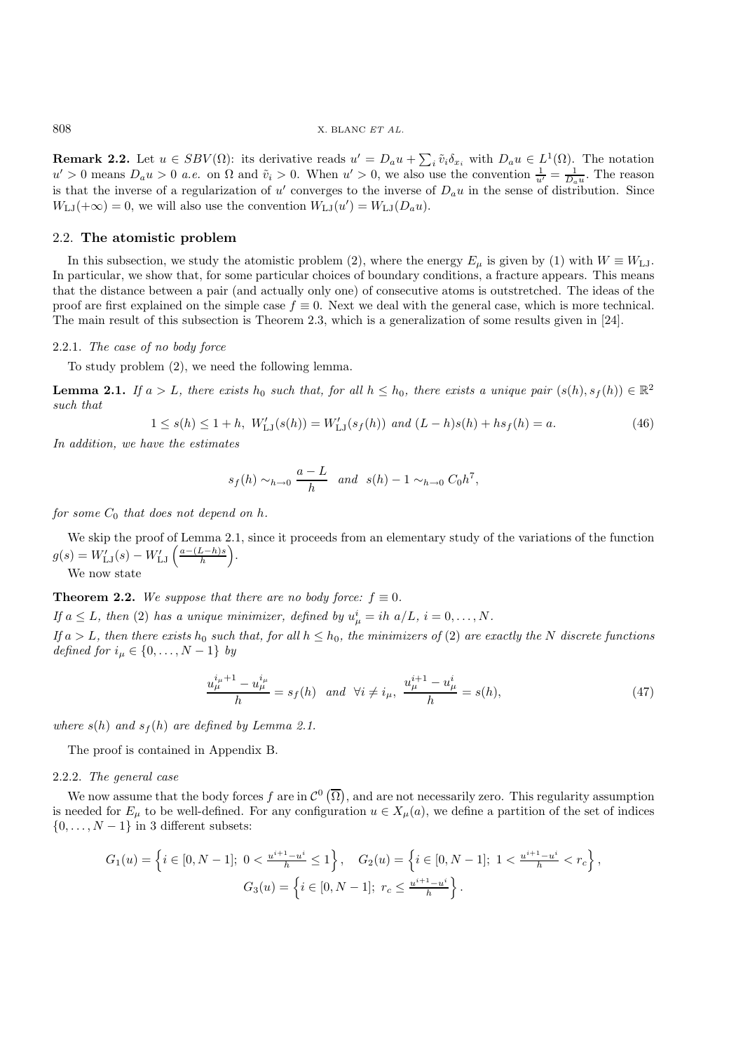**Remark 2.2.** Let  $u \in SBV(\Omega)$ : its derivative reads  $u' = D_a u + \sum_i \tilde{v}_i \delta_{x_i}$  with  $D_a u \in L^1(\Omega)$ . The notation  $u' > 0$  moons  $D, u > 0$  a.e. on  $\Omega$  and  $\tilde{v}_i > 0$ . When  $u' > 0$  we also use the convention  $1 - 1$ . The reaso  $u' > 0$  means  $D_a u > 0$  *a.e.* on  $\Omega$  and  $\tilde{v}_i > 0$ . When  $u' > 0$ , we also use the convention  $\frac{1}{u'} = \frac{1}{D_a u}$ . The reason<br>is that the inverse of a regularization of  $u'$  converges to the inverse of  $D$  *u* in the s is that the inverse of a regularization of u' converges to the inverse of  $D_a u$  in the sense of distribution. Since  $W_{\alpha}(\pm \infty) = 0$  we will also use the convention  $W_{\alpha}(\mu') = W_{\alpha}(\mu)$  $W_{\text{LJ}}(+\infty) = 0$ , we will also use the convention  $W_{\text{LJ}}(u') = W_{\text{LJ}}(D_a u)$ .

## 2.2. **The atomistic problem**

In this subsection, we study the atomistic problem (2), where the energy  $E_{\mu}$  is given by (1) with  $W \equiv W_{\text{LJ}}$ . In particular, we show that, for some particular choices of boundary conditions, a fracture appears. This means that the distance between a pair (and actually only one) of consecutive atoms is outstretched. The ideas of the proof are first explained on the simple case  $f \equiv 0$ . Next we deal with the general case, which is more technical. The main result of this subsection is Theorem 2.3, which is a generalization of some results given in [24].

# 2.2.1. *The case of no body force*

To study problem (2), we need the following lemma.

**Lemma 2.1.** *If*  $a > L$ *, there exists*  $h_0$  *such that, for all*  $h \leq h_0$ *, there exists a unique pair*  $(s(h), s_f(h)) \in \mathbb{R}^2$ *such that*

$$
1 \le s(h) \le 1 + h, \ W'_{LJ}(s(h)) = W'_{LJ}(s_f(h)) \ \text{and} \ (L - h)s(h) + h s_f(h) = a. \tag{46}
$$

*In addition, we have the estimates*

$$
s_f(h) \sim_{h \to 0} \frac{a-L}{h}
$$
 and  $s(h) - 1 \sim_{h \to 0} C_0 h^7$ ,

*for some*  $C_0$  *that does not depend on h.* 

We skip the proof of Lemma 2.1, since it proceeds from an elementary study of the variations of the function  $g(s) = W'_{LJ}(s) - W'_{LJ}\left(\frac{a - (L-h)s}{h}\right)$ .

We now state

**Theorem 2.2.** *We suppose that there are no body force:*  $f \equiv 0$ *.* 

*If*  $a \leq L$ , then (2) has a unique minimizer, defined by  $u^i_\mu = ih \ a/L$ ,  $i = 0, \ldots, N$ .

*If*  $a > L$ *, then there exists*  $h_0$  *such that, for all*  $h \leq h_0$ *, the minimizers of* (2) *are exactly the* N *discrete functions defined for*  $i_{\mu} \in \{0, \ldots, N-1\}$  *by* 

$$
\frac{u_{\mu}^{i_{\mu}+1} - u_{\mu}^{i_{\mu}}}{h} = s_{f}(h) \quad \text{and} \quad \forall i \neq i_{\mu}, \quad \frac{u_{\mu}^{i+1} - u_{\mu}^{i}}{h} = s(h), \tag{47}
$$

*where*  $s(h)$  *and*  $s_f(h)$  *are defined by Lemma 2.1.* 

The proof is contained in Appendix B.

#### 2.2.2. *The general case*

We now assume that the body forces f are in  $\mathcal{C}^0(\overline{\Omega})$ , and are not necessarily zero. This regularity assumption<br>needed for E, to be well-defined. For any configuration  $y \in X$  (a), we define a partition of the set o is needed for  $E_{\mu}$  to be well-defined. For any configuration  $u \in X_{\mu}(a)$ , we define a partition of the set of indices  $\{0,\ldots,N-1\}$  in 3 different subsets:

$$
G_1(u) = \left\{ i \in [0, N - 1]; \ 0 < \frac{u^{i+1} - u^i}{h} \le 1 \right\}, \quad G_2(u) = \left\{ i \in [0, N - 1]; \ 1 < \frac{u^{i+1} - u^i}{h} < r_c \right\},
$$
\n
$$
G_3(u) = \left\{ i \in [0, N - 1]; \ r_c \le \frac{u^{i+1} - u^i}{h} \right\}.
$$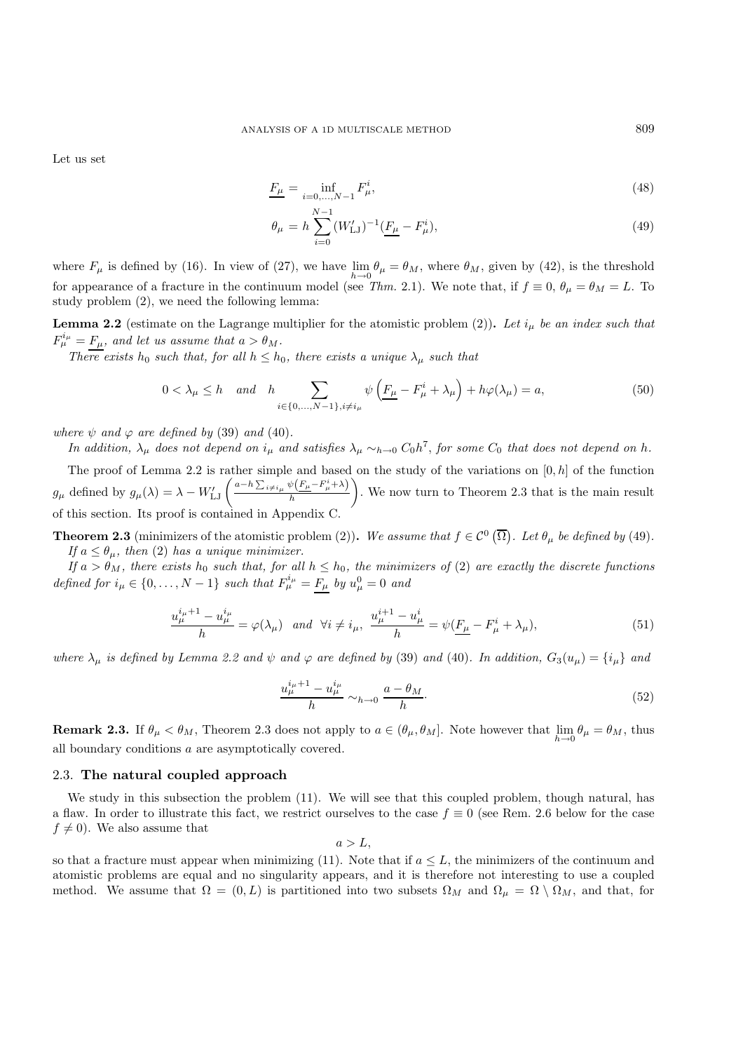Let us set

$$
\underline{F_{\mu}} = \inf_{i=0,\dots,N-1} F_{\mu}^i,\tag{48}
$$

$$
\theta_{\mu} = h \sum_{i=0}^{N-1} (W'_{\text{LJ}})^{-1} \left( \underline{F_{\mu}} - F_{\mu}^{i} \right), \tag{49}
$$

where  $F_{\mu}$  is defined by (16). In view of (27), we have  $\lim_{h\to 0} \theta_{\mu} = \theta_M$ , where  $\theta_M$ , given by (42), is the threshold for appearance of a fracture in the continuum model (see Thm, 2.1). We note that, if  $f = 0$ , for appearance of a fracture in the continuum model (see *Thm.* 2.1). We note that, if  $f \equiv 0$ ,  $\theta_{\mu} = \theta_{M} = L$ . To study problem (2), we need the following lemma:

**Lemma 2.2** (estimate on the Lagrange multiplier for the atomistic problem (2)). Let  $i_{\mu}$  be an index such that  $F_{\mu}^{i_{\mu}} = F_{\mu}$ , and let us assume that  $a > \theta_M$ .<br>There exists he such that for all  $b < b$ .

*There exists*  $h_0$  *such that, for all*  $h \leq h_0$ *, there exists a unique*  $\lambda_\mu$  *such that* 

$$
0 < \lambda_{\mu} \le h \quad \text{and} \quad h \sum_{i \in \{0, \dots, N-1\}, i \neq i_{\mu}} \psi\left(\underline{F_{\mu}} - F_{\mu}^{i} + \lambda_{\mu}\right) + h\varphi(\lambda_{\mu}) = a,\tag{50}
$$

*where*  $\psi$  *and*  $\varphi$  *are defined by* (39) *and* (40)*.* 

*In addition,*  $\lambda_{\mu}$  *does not depend on*  $i_{\mu}$  *and satisfies*  $\lambda_{\mu} \sim_{h \to 0} C_0 h^7$ *, for some*  $C_0$  *that does not depend on* h.

The proof of Lemma 2.2 is rather simple and based on the study of the variations on  $[0, h]$  of the function  $g_{\mu}$  defined by  $g_{\mu}(\lambda) = \lambda - W'_{\text{LJ}} \left( \frac{a - h \sum_{i \neq i_{\mu}} \psi \left( F_{\mu} - F^{i}_{\mu} + \lambda \right)}{h} \right)$  . We now turn to Theorem 2.3 that is the main result of this section. Its proof is contained in Appendix C.

**Theorem 2.3** (minimizers of the atomistic problem (2)). We assume that  $f \in C^0(\overline{\Omega})$ . Let  $\theta_\mu$  be defined by (49)*.* If  $a \leq \theta$  then (2) has a unique minimizer *If*  $a \leq \theta_{\mu}$ , then (2) has a unique minimizer.<br>*If*  $a > \theta_{\lambda}$ , there exists be such that, for all

*If*  $a > \theta_M$ , there exists  $h_0$  *such that, for all*  $h \leq h_0$ , the minimizers of (2) are exactly the discrete functions *defined for*  $i_{\mu} \in \{0, ..., N-1\}$  *such that*  $F_{\mu}^{i_{\mu}} = \underline{F_{\mu}}$  *by*  $u_{\mu}^{0} = 0$  *and* 

$$
\frac{u_{\mu}^{i_{\mu}+1} - u_{\mu}^{i_{\mu}}}{h} = \varphi(\lambda_{\mu}) \quad \text{and} \quad \forall i \neq i_{\mu}, \quad \frac{u_{\mu}^{i+1} - u_{\mu}^{i}}{h} = \psi(\underline{F_{\mu}} - F_{\mu}^{i} + \lambda_{\mu}), \tag{51}
$$

*where*  $\lambda_{\mu}$  *is defined by Lemma 2.2 and*  $\psi$  *and*  $\varphi$  *are defined by* (39) *and* (40)*. In addition,*  $G_3(u_{\mu}) = \{i_{\mu}\}\$  *and* 

$$
\frac{u_{\mu}^{i_{\mu}+1} - u_{\mu}^{i_{\mu}}}{h} \sim_{h \to 0} \frac{a - \theta_M}{h}.\tag{52}
$$

**Remark 2.3.** If  $\theta_{\mu} < \theta_M$ , Theorem 2.3 does not apply to  $a \in (\theta_{\mu}, \theta_M]$ . Note however that  $\lim_{h \to 0} \theta_{\mu} = \theta_M$ , thus all boundary conditions a are asymptotically covered all boundary conditions a are asymptotically covered.

# 2.3. **The natural coupled approach**

We study in this subsection the problem (11). We will see that this coupled problem, though natural, has a flaw. In order to illustrate this fact, we restrict ourselves to the case  $f \equiv 0$  (see Rem. 2.6 below for the case  $f \neq 0$ ). We also assume that

$$
a>L,
$$

so that a fracture must appear when minimizing (11). Note that if  $a \leq L$ , the minimizers of the continuum and<br>atomistic problems are equal and no singularity appears, and it is therefore not interesting to use a coupled atomistic problems are equal and no singularity appears, and it is therefore not interesting to use a coupled method. We assume that  $\Omega = (0, L)$  is partitioned into two subsets  $\Omega_M$  and  $\Omega_\mu = \Omega \setminus \Omega_M$ , and that, for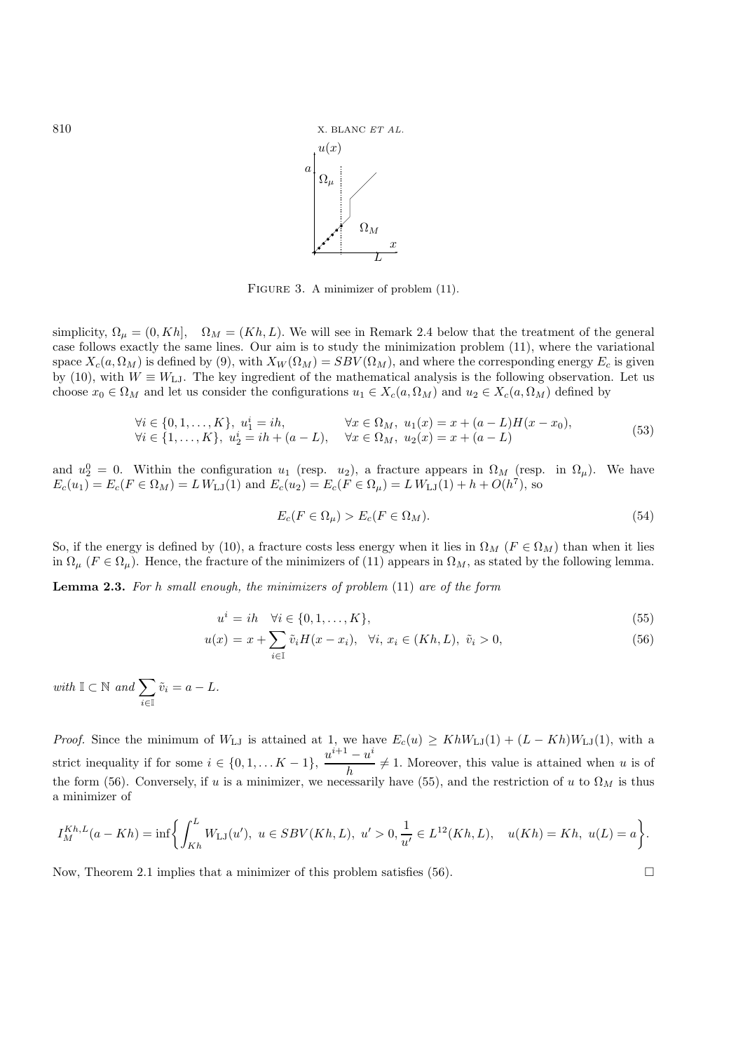

FIGURE 3. A minimizer of problem (11).

simplicity,  $\Omega_{\mu} = (0, Kh], \Omega_{M} = (Kh, L)$ . We will see in Remark 2.4 below that the treatment of the general case follows exactly the same lines. Our aim is to study the minimization problem (11), where the variational space  $X_c(a, \Omega_M)$  is defined by (9), with  $X_W(\Omega_M) = SBV(\Omega_M)$ , and where the corresponding energy  $E_c$  is given by (10), with  $W \equiv W_{\text{LJ}}$ . The key ingredient of the mathematical analysis is the following observation. Let us choose  $x_0 \in \Omega_M$  and let us consider the configurations  $u_1 \in X_c(a, \Omega_M)$  and  $u_2 \in X_c(a, \Omega_M)$  defined by

$$
\forall i \in \{0, 1, ..., K\}, \; u_1^i = ih, \qquad \forall x \in \Omega_M, \; u_1(x) = x + (a - L)H(x - x_0), \n\forall i \in \{1, ..., K\}, \; u_2^i = ih + (a - L), \quad \forall x \in \Omega_M, \; u_2(x) = x + (a - L)
$$
\n
$$
(53)
$$

and  $u_2^0 = 0$ . Within the configuration  $u_1$  (resp.  $u_2$ ), a fracture appears in  $\Omega_M$  (resp. in  $\Omega_\mu$ ). We have  $E(u_1) = E(E \in \Omega_M) - L W_{M-1}(1)$  and  $E(u_2) = E(E \in \Omega_M) - L W_{M-1}(1) + h + O(h^7)$  so  $E_c(u_1) = E_c(F \in \Omega_M) = L W_{LJ}(1)$  and  $E_c(u_2) = E_c(F \in \Omega_\mu) = L W_{LJ}(1) + h + O(h^7)$ , so

$$
E_c(F \in \Omega_\mu) > E_c(F \in \Omega_M). \tag{54}
$$

So, if the energy is defined by (10), a fracture costs less energy when it lies in  $\Omega_M$  ( $F \in \Omega_M$ ) than when it lies in  $\Omega_{\mu}$  ( $F \in \Omega_{\mu}$ ). Hence, the fracture of the minimizers of (11) appears in  $\Omega_{M}$ , as stated by the following lemma.

**Lemma 2.3.** *For* h *small enough, the minimizers of problem* (11) *are of the form*

$$
u^i = ih \quad \forall i \in \{0, 1, \dots, K\},\tag{55}
$$

$$
u(x) = x + \sum_{i \in I} \tilde{v}_i H(x - x_i), \quad \forall i, \, x_i \in (Kh, L), \, \tilde{v}_i > 0,\tag{56}
$$

*with*  $\mathbb{I} \subset \mathbb{N}$  *and*  $\sum$ i∈I  $\tilde{v}_i = a - L.$ 

*Proof.* Since the minimum of  $W_{LJ}$  is attained at 1, we have  $E_c(u) \ge KhW_{LJ}(1) + (L - Kh)W_{LJ}(1)$ , with a strict inequality if for some  $i \in \{0, 1, \ldots K - 1\}$ ,  $\frac{u^{i+1} - u^i}{h} \neq 1$ . Moreover, this value is attained when u is of the form (56). Conversely, if u is a minimizer, we necessarily have (55), and the restriction of the form (56). Conversely, if u is a minimizer, we necessarily have (55), and the restriction of u to  $\Omega_M$  is thus a minimizer of

$$
I_M^{Kh,L}(a - Kh) = \inf \left\{ \int_{Kh}^L W_{LJ}(u'), \ u \in SBV(Kh, L), \ u' > 0, \frac{1}{u'} \in L^{12}(Kh, L), \quad u(Kh) = Kh, \ u(L) = a \right\}.
$$

Now, Theorem 2.1 implies that a minimizer of this problem satisfies (56).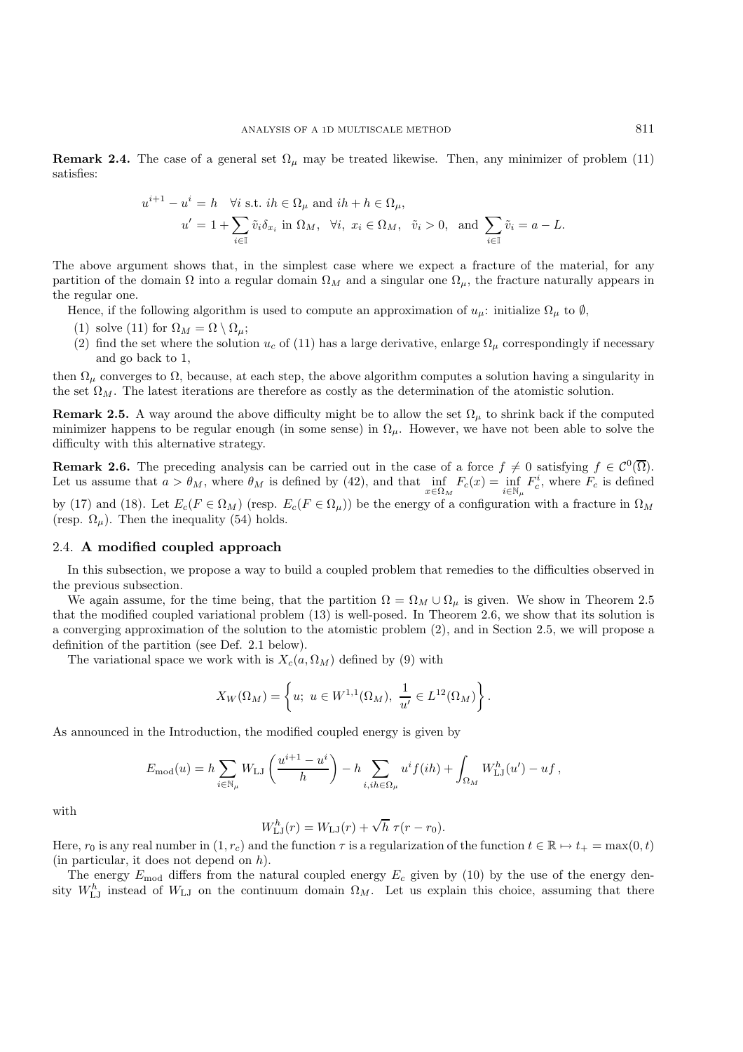**Remark 2.4.** The case of a general set  $\Omega_{\mu}$  may be treated likewise. Then, any minimizer of problem (11) satisfies:

$$
u^{i+1} - u^i = h \quad \forall i \text{ s.t. } ih \in \Omega_\mu \text{ and } ih + h \in \Omega_\mu,
$$
  

$$
u' = 1 + \sum_{i \in \mathbb{I}} \tilde{v}_i \delta_{x_i} \text{ in } \Omega_M, \quad \forall i, \ x_i \in \Omega_M, \quad \tilde{v}_i > 0, \text{ and } \sum_{i \in \mathbb{I}} \tilde{v}_i = a - L.
$$

The above argument shows that, in the simplest case where we expect a fracture of the material, for any partition of the domain  $\Omega$  into a regular domain  $\Omega_M$  and a singular one  $\Omega_\mu$ , the fracture naturally appears in the regular one.

Hence, if the following algorithm is used to compute an approximation of  $u_{\mu}$ : initialize  $\Omega_{\mu}$  to Ø,

- (1) solve (11) for  $\Omega_M = \Omega \setminus \Omega_\mu$ ;
- (2) find the set where the solution  $u_c$  of (11) has a large derivative, enlarge  $\Omega_\mu$  correspondingly if necessary and go back to 1,

then  $\Omega_{\mu}$  converges to  $\Omega$ , because, at each step, the above algorithm computes a solution having a singularity in the set  $\Omega_M$ . The latest iterations are therefore as costly as the determination of the atomistic solution.

**Remark 2.5.** A way around the above difficulty might be to allow the set  $\Omega_{\mu}$  to shrink back if the computed minimizer happens to be regular enough (in some sense) in  $\Omega_{\mu}$ . However, we have not been able to solve the difficulty with this alternative strategy.

**Remark 2.6.** The preceding analysis can be carried out in the case of a force  $f \neq 0$  satisfying  $f \in C^0(\overline{\Omega})$ . Let us assume that  $a > \theta_M$ , where  $\theta_M$  is defined by (42), and that  $\inf_{x \in \Omega_M} F_c(x) = \inf_{i \in \mathbb{N}} F_c^i$ , where  $F_c$  is defined

by (17) and (18). Let  $E_c(F \in \Omega_M)$  (resp.  $E_c(F \in \Omega_\mu)$ ) be the energy of a configuration with a fracture in  $\Omega_M$ (resp.  $\Omega_{\mu}$ ). Then the inequality (54) holds.

## 2.4. **A modified coupled approach**

In this subsection, we propose a way to build a coupled problem that remedies to the difficulties observed in the previous subsection.

We again assume, for the time being, that the partition  $\Omega = \Omega_M \cup \Omega_\mu$  is given. We show in Theorem 2.5 that the modified coupled variational problem (13) is well-posed. In Theorem 2.6, we show that its solution is a converging approximation of the solution to the atomistic problem (2), and in Section 2.5, we will propose a definition of the partition (see Def. 2.1 below).

The variational space we work with is  $X_c(a, \Omega_M)$  defined by (9) with

$$
X_W(\Omega_M) = \left\{ u; \ u \in W^{1,1}(\Omega_M), \ \frac{1}{u'} \in L^{12}(\Omega_M) \right\}.
$$

As announced in the Introduction, the modified coupled energy is given by

$$
E_{\text{mod}}(u) = h \sum_{i \in \mathbb{N}_{\mu}} W_{\text{LJ}} \left( \frac{u^{i+1} - u^i}{h} \right) - h \sum_{i, i h \in \Omega_{\mu}} u^i f(ih) + \int_{\Omega_M} W_{\text{LJ}}^h(u') - u f,
$$

with

$$
W_{\text{LJ}}^h(r) = W_{\text{LJ}}(r) + \sqrt{h} \ \tau(r - r_0).
$$

Here,  $r_0$  is any real number in  $(1, r_c)$  and the function  $\tau$  is a regularization of the function  $t \in \mathbb{R} \mapsto t_+ = \max(0, t)$ (in particular, it does not depend on h).

The energy  $E_{\text{mod}}$  differs from the natural coupled energy  $E_c$  given by (10) by the use of the energy density  $W_{\text{LJ}}^h$  instead of  $W_{\text{LJ}}$  on the continuum domain  $\Omega_M$ . Let us explain this choice, assuming that there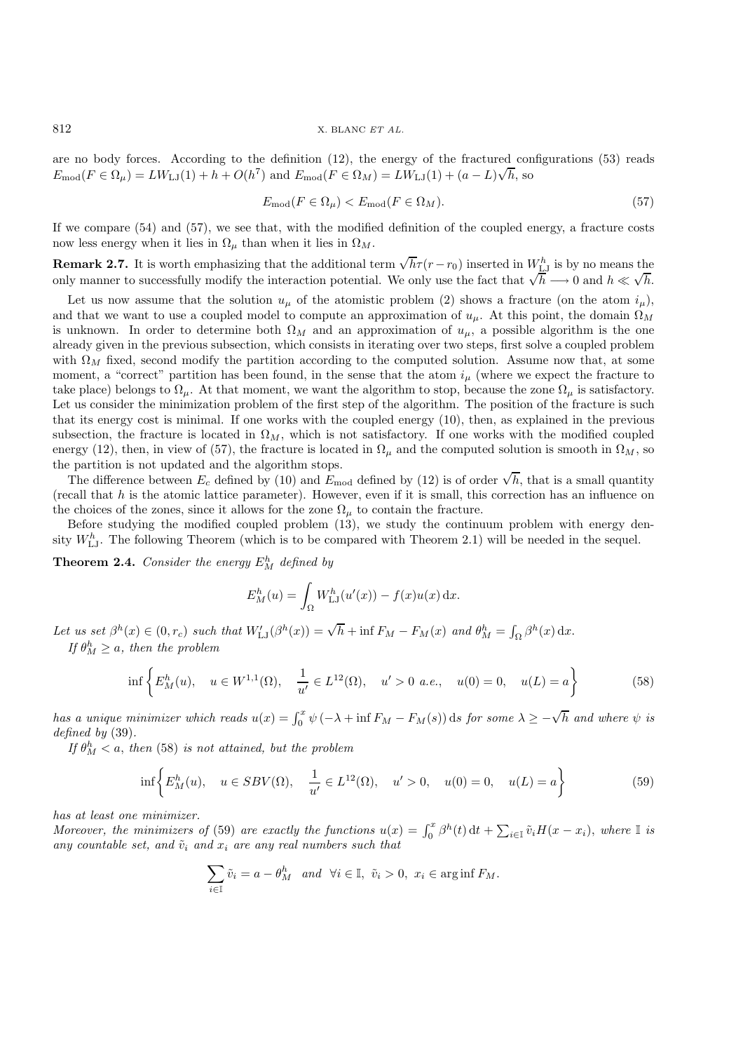are no body forces. According to the definition (12), the energy of the fractured configurations (53) reads  $E_{\text{mod}}(F \in \Omega_{\mu}) = LW_{\text{LJ}}(1) + h + O(h^7)$  and  $E_{\text{mod}}(F \in \Omega_M) = LW_{\text{LJ}}(1) + (a - L)\sqrt{h}$ , so

$$
E_{\text{mod}}(F \in \Omega_{\mu}) < E_{\text{mod}}(F \in \Omega_M). \tag{57}
$$

If we compare (54) and (57), we see that, with the modified definition of the coupled energy, a fracture costs now less energy when it lies in  $\Omega_{\mu}$  than when it lies in  $\Omega_{M}$ .

**Remark 2.7.** It is worth emphasizing that the additional term  $\sqrt{h}\tau(r-r_0)$  inserted in  $W_{LL}^h$  is by no means the **ONLY MANUTE IN THE INTERFERENCE IN THE INTERFERENCE IN WELT IS DY NO MEANS THE ONLY MANUTE IN MANUTE IN MANUTE IN MANUTE IS NOT USE THE ONLY THE INTERFERENCE IN MANUTE IS NOT USE THE ONLY THE ONLY THE USE OF THE ONLY THE** 

Let us now assume that the solution  $u_{\mu}$  of the atomistic problem (2) shows a fracture (on the atom  $i_{\mu}$ ), and that we want to use a coupled model to compute an approximation of  $u_{\mu}$ . At this point, the domain  $\Omega_M$ is unknown. In order to determine both  $\Omega_M$  and an approximation of  $u_\mu$ , a possible algorithm is the one already given in the previous subsection, which consists in iterating over two steps, first solve a coupled problem with  $\Omega_M$  fixed, second modify the partition according to the computed solution. Assume now that, at some moment, a "correct" partition has been found, in the sense that the atom  $i_{\mu}$  (where we expect the fracture to take place) belongs to  $\Omega_{\mu}$ . At that moment, we want the algorithm to stop, because the zone  $\Omega_{\mu}$  is satisfactory. Let us consider the minimization problem of the first step of the algorithm. The position of the fracture is such that its energy cost is minimal. If one works with the coupled energy (10), then, as explained in the previous subsection, the fracture is located in  $\Omega_M$ , which is not satisfactory. If one works with the modified coupled energy (12), then, in view of (57), the fracture is located in  $\Omega_{\mu}$  and the computed solution is smooth in  $\Omega_{M}$ , so the partition is not updated and the algorithm stops.

 $\tau$  partition is not updated and the algorithm stops.<br>The difference between  $E_c$  defined by (10) and  $E_{\text{mod}}$  defined by (12) is of order  $\sqrt{h}$ , that is a small quantity<br>call that h is the atomic lattice parameter). (recall that  $h$  is the atomic lattice parameter). However, even if it is small, this correction has an influence on the choices of the zones, since it allows for the zone  $\Omega_{\mu}$  to contain the fracture.

Before studying the modified coupled problem (13), we study the continuum problem with energy density  $W_{\text{LJ}}^h$ . The following Theorem (which is to be compared with Theorem 2.1) will be needed in the sequel.

**Theorem 2.4.** *Consider the energy*  $E_M^h$  *defined by* 

$$
E_M^h(u) = \int_{\Omega} W_{\text{LJ}}^h(u'(x)) - f(x)u(x) \,dx.
$$

Let us set  $\beta^h(x) \in (0, r_c)$  *such that*  $W'_{\text{LJ}}(\beta^h(x)) = \sqrt{h} + \inf F_M - F_M(x)$  *and*  $\theta^h_M = \int_{\Omega} \beta^h(x) dx$ . *If*  $\theta_M^h \geq a$ , then the problem

$$
\inf \left\{ E_M^h(u), \quad u \in W^{1,1}(\Omega), \quad \frac{1}{u'} \in L^{12}(\Omega), \quad u' > 0 \text{ a.e., } u(0) = 0, \quad u(L) = a \right\}
$$
(58)

*has a unique minimizer which reads*  $u(x) = \int_0^x \psi(-\lambda + \inf F_M - F_M(s))$  ds *for some*  $\lambda \ge -\sqrt{h}$  *and where*  $\psi$  *is defined by* (39) *defined by* (39)*.*

*If*  $\theta_M^h < a$ , *then* (58) *is not attained, but the problem* 

$$
\inf \left\{ E_M^h(u), \quad u \in SBV(\Omega), \quad \frac{1}{u'} \in L^{12}(\Omega), \quad u' > 0, \quad u(0) = 0, \quad u(L) = a \right\} \tag{59}
$$

*has at least one minimizer.*

*Moreover, the minimizers of* (59) *are exactly the functions*  $u(x) = \int_0^x \beta^h(t) dt + \sum_{i \in \mathbb{I}} \tilde{v}_i H(x - x_i)$ , where  $\mathbb{I}$  *is* any countable set, and  $\tilde{v}_i$  and x, are any real numbers such that any countable set, and  $\tilde{v}_i$  and  $x_i$  are any real numbers such that

$$
\sum_{i\in\mathbb{I}} \tilde{v}_i = a - \theta_M^h \quad \text{and} \quad \forall i \in \mathbb{I}, \quad \tilde{v}_i > 0, \quad x_i \in \arg\inf F_M.
$$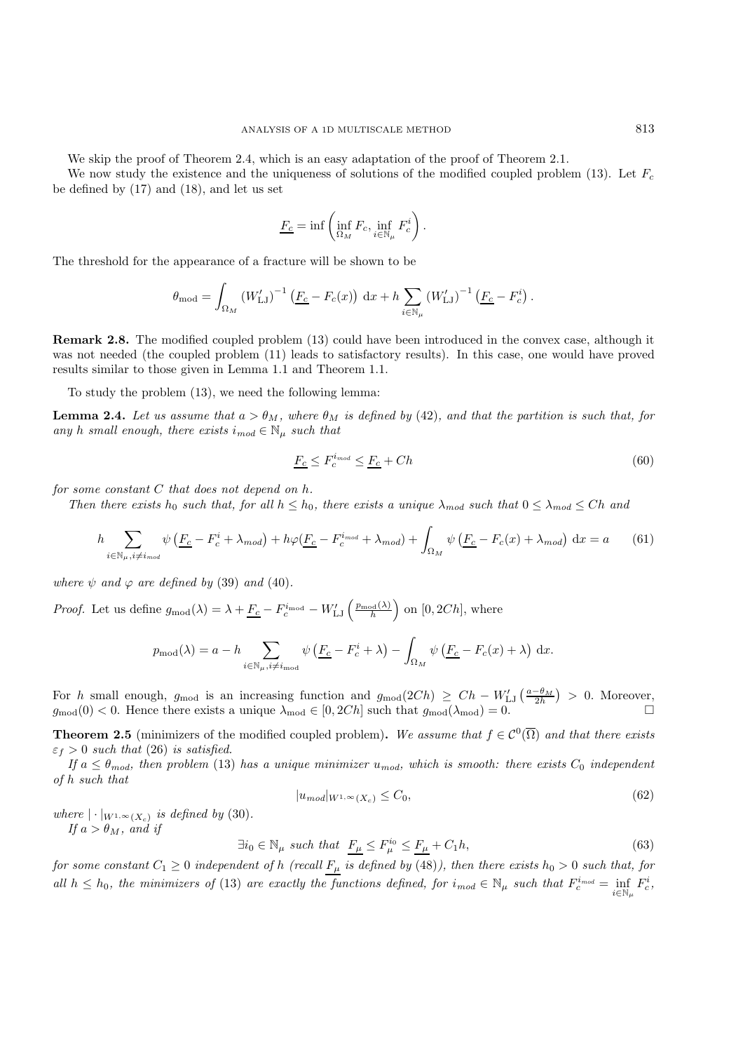We skip the proof of Theorem 2.4, which is an easy adaptation of the proof of Theorem 2.1.

We now study the existence and the uniqueness of solutions of the modified coupled problem (13). Let  $F_c$ be defined by (17) and (18), and let us set

$$
\underline{F_c} = \inf \left( \inf_{\Omega_M} F_c, \inf_{i \in \mathbb{N}_\mu} F_c^i \right).
$$

The threshold for the appearance of a fracture will be shown to be

$$
\theta_{\text{mod}} = \int_{\Omega_M} (W'_{\text{LJ}})^{-1} \left( \underline{F_c} - F_c(x) \right) dx + h \sum_{i \in \mathbb{N}_\mu} (W'_{\text{LJ}})^{-1} \left( \underline{F_c} - F_c^i \right).
$$

**Remark 2.8.** The modified coupled problem (13) could have been introduced in the convex case, although it was not needed (the coupled problem  $(11)$  leads to satisfactory results). In this case, one would have proved results similar to those given in Lemma 1.1 and Theorem 1.1.

To study the problem (13), we need the following lemma:

**Lemma 2.4.** *Let us assume that*  $a > \theta_M$ *, where*  $\theta_M$  *is defined by* (42)*, and that the partition is such that, for any* h *small enough, there exists*  $i_{mod} \in \mathbb{N}_{\mu}$  *such that* 

$$
\underline{F_c} \le F_c^{i_{mod}} \le \underline{F_c} + Ch \tag{60}
$$

*for some constant* C *that does not depend on* h*.*

*Then there exists* h<sub>0</sub> *such that, for all*  $h \leq h_0$ *, there exists a unique*  $\lambda_{mod}$  *such that*  $0 \leq \lambda_{mod} \leq Ch$  *and* 

$$
h \sum_{i \in \mathbb{N}_{\mu}, i \neq i_{mod}} \psi \left( \underline{F_c} - F_c^i + \lambda_{mod} \right) + h\varphi \left( \underline{F_c} - F_c^{i_{mod}} + \lambda_{mod} \right) + \int_{\Omega_M} \psi \left( \underline{F_c} - F_c(x) + \lambda_{mod} \right) dx = a \tag{61}
$$

*where*  $\psi$  *and*  $\varphi$  *are defined by* (39) *and* (40)*.* 

*Proof.* Let us define  $g_{mod}(\lambda) = \lambda + \underline{F_c} - F_c^{i_{mod}} - W'_{LJ} \left(\frac{p_{mod}(\lambda)}{h}\right)$  $\Big)$  on [0, 2Ch], where

$$
p_{\text{mod}}(\lambda) = a - h \sum_{i \in \mathbb{N}_{\mu}, i \neq i_{\text{mod}}} \psi \left( \underline{F_c} - F_c^i + \lambda \right) - \int_{\Omega_M} \psi \left( \underline{F_c} - F_c(x) + \lambda \right) dx.
$$

For h small enough,  $g_{\text{mod}}$  is an increasing function and  $g_{\text{mod}}(2Ch) \ge Ch - W'_{LJ}(\frac{a-\theta_M}{2h}) > 0$ . Moreover,  $g_{\text{mod}}(0) < 0$ . Hence there exists a unique  $\lambda_{\text{mod}} \in [0, 2Ch]$  such that  $g_{\text{mod}}(\lambda_{\text{mod}}) = 0$ .

**Theorem 2.5** (minimizers of the modified coupled problem). We assume that  $f \in C^0(\overline{\Omega})$  and that there exists  $\varepsilon_f > 0$  *such that* (26) *is satisfied.* 

*If*  $a \leq \theta_{mod}$ , then problem (13) has a unique minimizer  $u_{mod}$ , which is smooth: there exists  $C_0$  independent *of* h *such that*

$$
|u_{mod}|_{W^{1,\infty}(X_c)} \leq C_0,\tag{62}
$$

*where*  $|\cdot|_{W^{1,\infty}(X_c)}$  *is defined by* (30)*. If*  $a > \theta_M$ *, and if* 

$$
\exists i_0 \in \mathbb{N}_{\mu} \text{ such that } \underline{F_{\mu}} \le F_{\mu}^{i_0} \le \underline{F_{\mu}} + C_1 h,\tag{63}
$$

*for some constant*  $C_1 \geq 0$  *independent of h (recall*  $F_\mu$  *is defined by* (48)*), then there exists*  $h_0 > 0$  *such that, for all*  $h \leq h_0$ , the minimizers of (13) are exactly the functions defined, for  $i_{mod} \in \mathbb{N}_{\mu}$  such that  $F_c^{i_{mod}} = \inf_{i \in \mathbb{N}_{\mu}} F_c^i$ ,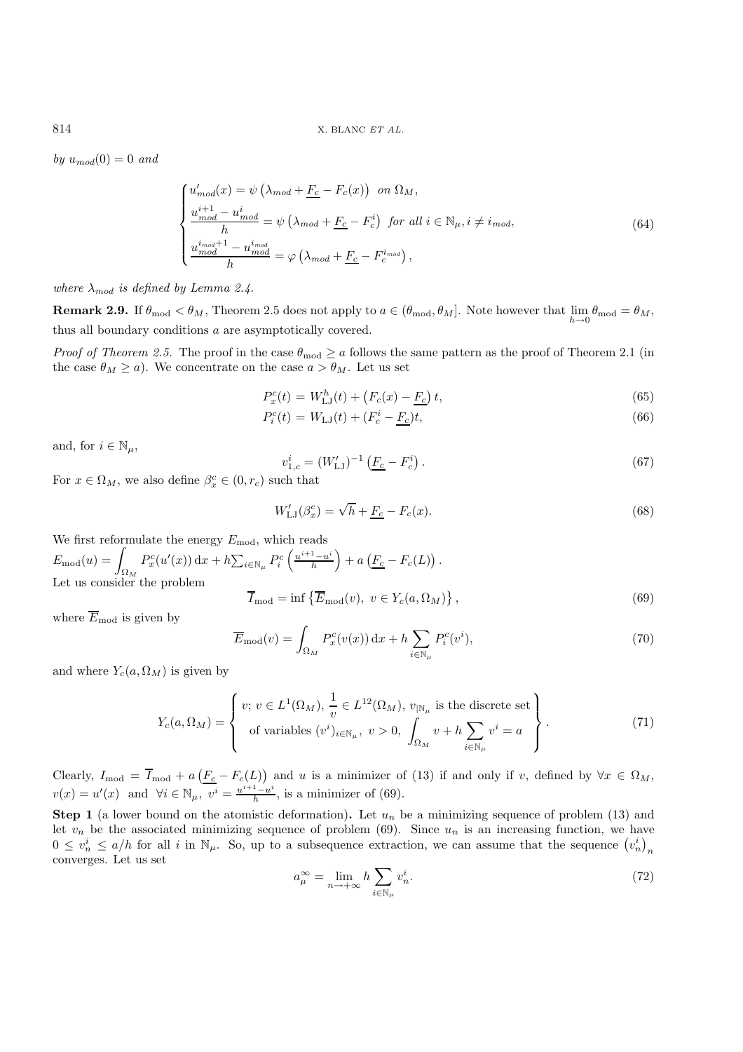*by*  $u_{mod}(0) = 0$  *and* 

$$
\begin{cases}\nu'_{mod}(x) = \psi\left(\lambda_{mod} + \underline{F_c} - F_c(x)\right) & \text{on } \Omega_M, \\
\frac{u^{i+1}_{mod} - u^i_{mod}}{h} = \psi\left(\lambda_{mod} + \underline{F_c} - F_c^i\right) & \text{for all } i \in \mathbb{N}_{\mu}, i \neq i_{mod}, \\
\frac{u^{i_{mod}+1}_{mod} - u^i_{mod}}{h} = \varphi\left(\lambda_{mod} + \underline{F_c} - F_c^{i_{mod}}\right),\n\end{cases} \tag{64}
$$

*where*  $\lambda_{mod}$  *is defined by Lemma 2.4.* 

**Remark 2.9.** If  $\theta_{\text{mod}} < \theta_M$ , Theorem 2.5 does not apply to  $a \in (\theta_{\text{mod}}, \theta_M]$ . Note however that  $\lim_{h \to 0} \theta_{\text{mod}} = \theta_M$ , thus all boundary conditions a are asymptotically covered.

*Proof of Theorem 2.5.* The proof in the case  $\theta_{mod} \ge a$  follows the same pattern as the proof of Theorem 2.1 (in the case  $\theta_M \ge a$ ). We concentrate on the case  $a > \theta_M$ . Let us set

$$
P_c^c(t) = W_{\text{LJ}}^h(t) + (F_c(x) - F_c)t,\tag{65}
$$

$$
P_i^c(t) = W_{\text{LJ}}(t) + (F_c^t - \underline{F_c})t,\tag{66}
$$

and, for  $i \in \mathbb{N}_u$ ,

$$
v_{1,c}^i = (W'_{\text{LJ}})^{-1} \left( \underline{F_c} - F_c^i \right). \tag{67}
$$

For  $x \in \Omega_M$ , we also define  $\beta_x^c \in (0, r_c)$  such that

$$
W_{\text{LJ}}'(\beta_x^c) = \sqrt{h} + \underline{F_c} - F_c(x). \tag{68}
$$

We first reformulate the energy  $E_{\text{mod}}$ , which reads  $E_{\text{mod}}(u) = \int_{\Omega_M} P_x^c(u'(x)) dx + h \sum_{i \in \mathbb{N}_\mu} P_i^c\left(\frac{u^{i+1} - u^i}{h}\right)$  $\Big) + a \left( \underline{F_c} - F_c(L) \right)$ Let us consider the problem

$$
\overline{I}_{\text{mod}} = \inf \left\{ \overline{E}_{\text{mod}}(v), \ v \in Y_c(a, \Omega_M) \right\},\tag{69}
$$

where  $\overline{E}_{\text{mod}}$  is given by

$$
\overline{E}_{\text{mod}}(v) = \int_{\Omega_M} P_x^c(v(x)) dx + h \sum_{i \in \mathbb{N}_\mu} P_i^c(v^i), \tag{70}
$$

and where  $Y_c(a, \Omega_M)$  is given by

$$
Y_c(a,\Omega_M) = \begin{cases} v; \, v \in L^1(\Omega_M), \, \frac{1}{v} \in L^{12}(\Omega_M), \, v_{\vert \mathbb{N}_{\mu}} \text{ is the discrete set} \\ \text{of variables } (v^i)_{i \in \mathbb{N}_{\mu}}, \, v > 0, \, \int_{\Omega_M} v + h \sum_{i \in \mathbb{N}_{\mu}} v^i = a \end{cases} \tag{71}
$$

Clearly,  $I_{\text{mod}} = \overline{I}_{\text{mod}} + a\left(\underline{F_c} - F_c(L)\right)$  and u is a minimizer of (13) if and only if v, defined by  $\forall x \in \Omega_M$ ,  $v(x) = u'(x)$  and  $\forall i \in \mathbb{N}_{\mu}, \overline{v^{i}} = \frac{u^{i+1}-u^{i}}{h}$ , is a minimizer of (69).

**Step 1** (a lower bound on the atomistic deformation). Let  $u_n$  be a minimizing sequence of problem (13) and let  $v_n$  be the associated minimizing sequence of problem (69). Since  $u_n$  is an increasing function, we have  $0 \le v_n^i \le a/h$  for all i in  $\mathbb{N}_{\mu}$ . So, up to a subsequence extraction, we can assume that the sequence  $(v_n^i)$ converges. Let us set

$$
a_{\mu}^{\infty} = \lim_{n \to +\infty} h \sum_{i \in \mathbb{N}_{\mu}} v_n^i.
$$
 (72)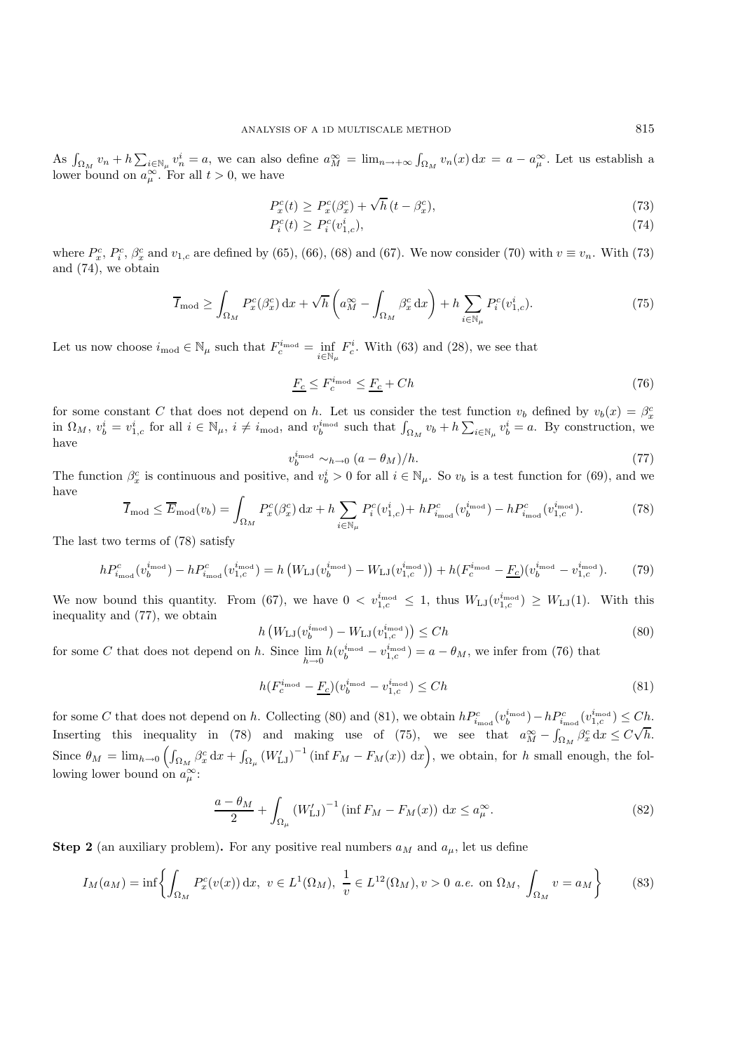As  $\int_{\Omega_M} v_n + h \sum_{i \in \mathbb{N}_\mu} v_n^i = a$ , we can also define  $a_M^{\infty} = \lim_{n \to +\infty} \int_{\Omega_M} v_n(x) dx = a - a_\mu^{\infty}$ . Let us establish a lower bound on  $a_{\mu}^{\infty}$ . For all  $t > 0$ , we have

$$
P_x^c(t) \ge P_x^c(\beta_x^c) + \sqrt{h}\left(t - \beta_x^c\right),\tag{73}
$$

$$
P_i^c(t) \ge P_i^c(v_{1,c}^i),\tag{74}
$$

where  $P_x^c$ ,  $P_i^c$ ,  $\beta_x^c$  and  $v_{1,c}$  are defined by (65), (66), (68) and (67). We now consider (70) with  $v \equiv v_n$ . With (73) and (74) we obtain and (74), we obtain

$$
\overline{I}_{\text{mod}} \ge \int_{\Omega_M} P_x^c(\beta_x^c) \, \mathrm{d}x + \sqrt{h} \left( a_M^{\infty} - \int_{\Omega_M} \beta_x^c \, \mathrm{d}x \right) + h \sum_{i \in \mathbb{N}_\mu} P_i^c(v_{1,c}^i). \tag{75}
$$

Let us now choose  $i_{mod} \in \mathbb{N}_{\mu}$  such that  $F_c^{i_{mod}} = \inf_{i \in \mathbb{N}_{\mu}} F_c^i$ . With (63) and (28), we see that

$$
\underline{F_c} \le F_c^{i_{\text{mod}}} \le \underline{F_c} + Ch \tag{76}
$$

for some constant C that does not depend on h. Let us consider the test function  $v_b$  defined by  $v_b(x) = \beta_x^c$ in  $\Omega_M$ ,  $v_b^i = v_{1,c}^i$  for all  $i \in \mathbb{N}_{\mu}$ ,  $i \neq i_{\text{mod}}$ , and  $v_b^{i_{\text{mod}}}$  such that  $\int_{\Omega_M} v_b + h \sum_{i \in \mathbb{N}_{\mu}} v_b^i = a$ . By construction, we have

$$
v_b^{i_{\text{mod}}} \sim_{h \to 0} (a - \theta_M)/h. \tag{77}
$$

The function  $\beta_x^c$  is continuous and positive, and  $v_b^i > 0$  for all  $i \in \mathbb{N}_{\mu}$ . So  $v_b$  is a test function for (69), and we have

$$
\overline{I}_{\text{mod}} \le \overline{E}_{\text{mod}}(v_b) = \int_{\Omega_M} P_x^c(\beta_x^c) dx + h \sum_{i \in \mathbb{N}_\mu} P_i^c(v_{1,c}^i) + h P_{i_{\text{mod}}}^c(v_b^{i_{\text{mod}}}) - h P_{i_{\text{mod}}}^c(v_{1,c}^{i_{\text{mod}}}). \tag{78}
$$

The last two terms of (78) satisfy

$$
hP_{i_{\rm mod}}^c(v_b^{i_{\rm mod}}) - hP_{i_{\rm mod}}^c(v_{1,c}^{i_{\rm mod}}) = h\left(W_{\rm LJ}(v_b^{i_{\rm mod}}) - W_{\rm LJ}(v_{1,c}^{i_{\rm mod}})\right) + h(F_c^{i_{\rm mod}} - F_c)(v_b^{i_{\rm mod}} - v_{1,c}^{i_{\rm mod}}). \tag{79}
$$

We now bound this quantity. From (67), we have  $0 < v_{1,c}^{i_{\text{mod}}} \leq 1$ , thus  $W_{\text{LJ}}(v_{1,c}^{i_{\text{mod}}}) \geq W_{\text{LJ}}(1)$ . With this inequality and (77), we obtain inequality and (77), we obtain

$$
h\left(W_{\text{LJ}}(v_b^{\text{imod}}) - W_{\text{LJ}}(v_{1,c}^{\text{imod}})\right) \le Ch\tag{80}
$$

for some C that does not depend on h. Since  $\lim_{h\to 0} h(v_b^{\text{imod}} - v_{1,c}^{\text{imod}}) = a - \theta_M$ , we infer from (76) that

$$
h(F_c^{i_{\text{mod}}} - \underline{F_c})(v_b^{i_{\text{mod}}} - v_{1,c}^{i_{\text{mod}}}) \le Ch
$$
\n
$$
(81)
$$

for some C that does not depend on h. Collecting (80) and (81), we obtain  $h P_{i_{\text{mod}}}^c(v_{\text{mod}}^{i_{\text{mod}}}) - h P_{i_{\text{mod}}}^c(v_{\text{mod}}^{i_{\text{mod}}}) \leq Ch$ . Inserting this inequality in (78) and making use of (75), we see that  $a_M^{\infty} - \int_{\Omega_M} \beta_x^c dx \leq C$ Since  $\theta_M = \lim_{h \to 0} \left( \int_{\Omega_M} \beta_x^c dx + \int_{\Omega_\mu} (W'_{LJ})^{-1} (\inf F_M - F_M(x)) dx \right)$ , we obtain, for h small enough, the following lower bound on  $a_{\mu}^{\infty}$ :

$$
\frac{a - \theta_M}{2} + \int_{\Omega_\mu} \left( W_{\text{LJ}}' \right)^{-1} \left( \inf F_M - F_M(x) \right) \, \mathrm{d}x \le a_\mu^\infty. \tag{82}
$$

**Step 2** (an auxiliary problem). For any positive real numbers  $a_M$  and  $a_u$ , let us define

$$
I_M(a_M) = \inf \left\{ \int_{\Omega_M} P_x^c(v(x)) dx, \ v \in L^1(\Omega_M), \ \frac{1}{v} \in L^{12}(\Omega_M), v > 0 \ a.e. \text{ on } \Omega_M, \ \int_{\Omega_M} v = a_M \right\} \tag{83}
$$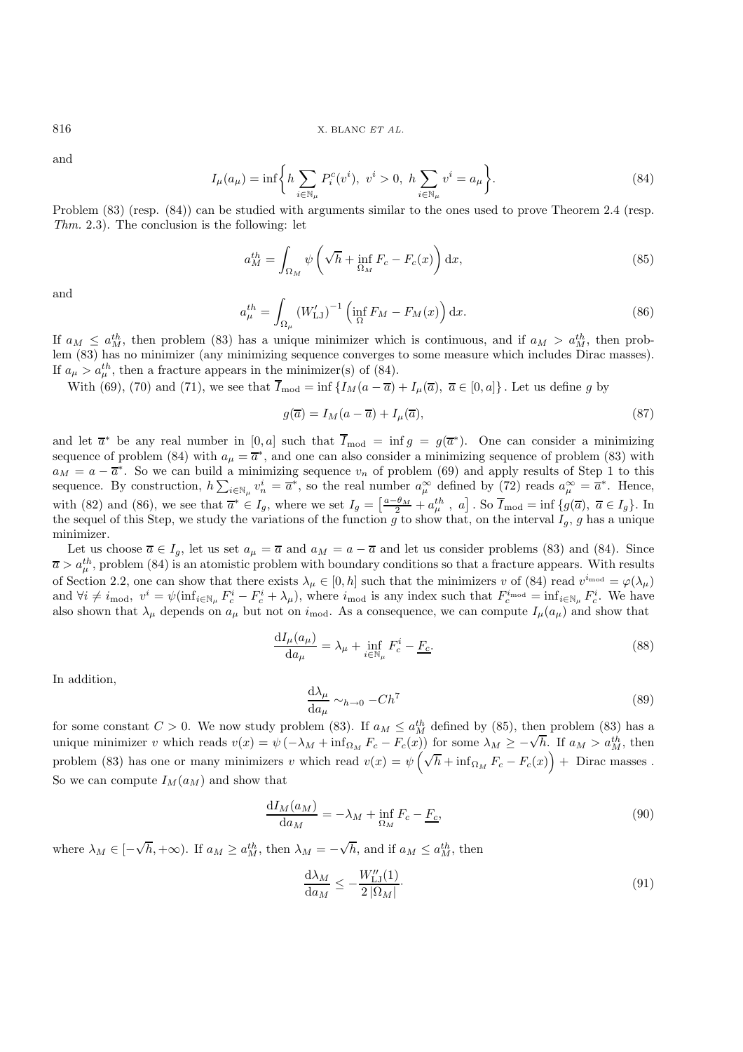and

$$
I_{\mu}(a_{\mu}) = \inf \left\{ h \sum_{i \in \mathbb{N}_{\mu}} P_i^c(v^i), \ v^i > 0, \ h \sum_{i \in \mathbb{N}_{\mu}} v^i = a_{\mu} \right\}.
$$
 (84)

Problem (83) (resp. (84)) can be studied with arguments similar to the ones used to prove Theorem 2.4 (resp. *Thm.* 2.3). The conclusion is the following: let

$$
a_M^{th} = \int_{\Omega_M} \psi \left( \sqrt{h} + \inf_{\Omega_M} F_c - F_c(x) \right) dx, \tag{85}
$$

and

$$
a_{\mu}^{th} = \int_{\Omega_{\mu}} \left( W'_{\text{LJ}} \right)^{-1} \left( \inf_{\Omega} F_M - F_M(x) \right) dx. \tag{86}
$$

If  $a_M \leq a_M^{th}$ , then problem (83) has a unique minimizer which is continuous, and if  $a_M > a_M^{th}$ , then problem (83) has no minimizer (any minimizing sequence converges to some measure which includes Dirac masses). If  $a_{\mu} > a_{\mu}^{th}$ , then a fracture appears in the minimizer(s) of (84).<br>With (60) (70) and (71) we see that  $\overline{I}$  in f (*I*) (a)

With (69), (70) and (71), we see that  $\overline{I}_{\text{mod}} = \inf \{ I_M(a - \overline{a}) + I_\mu(\overline{a}), \ \overline{a} \in [0, a] \}$ . Let us define g by

$$
g(\overline{a}) = I_M(a - \overline{a}) + I_\mu(\overline{a}),\tag{87}
$$

and let  $\overline{a}^*$  be any real number in [0, a] such that  $\overline{I}_{\text{mod}} = \inf g = g(\overline{a}^*)$ . One can consider a minimizing sequence of problem (84) with  $a_{\mu} = \overline{a}^*$ , and one can also consider a minimizing sequence of problem (83) with  $a_M = a - \overline{a}^*$ . So we can build a minimizing sequence  $v_n$  of problem (69) and apply results of Step 1 to this sequence. By construction,  $h\sum_{i\in\mathbb{N}_\mu}v_n^i=\overline{a}^*$ , so the real number  $a_\mu^\infty$  defined by (72) reads  $a_\mu^\infty=\overline{a}^*$ . Hence, with (82) and (86), we see that  $\overline{a}^* \in I_g$ , where we set  $I_g = \left[\frac{a-\theta_M}{2} + a^{th}_\mu, a\right]$ . So  $\overline{I}_{\text{mod}} = \inf \{g(\overline{a}), \overline{a} \in I_g\}$ . In the sequel of this Step, we study the variations of the function g to show that, on the interval  $I_g$ , g has a unique minimizer minimizer.

Let us choose  $\overline{a} \in I_g$ , let us set  $a_{\mu} = \overline{a}$  and  $a_M = a - \overline{a}$  and let us consider problems (83) and (84). Since  $\overline{a} > a_{\mu}^{th}$ , problem (84) is an atomistic problem with boundary conditions so that a fracture appears. With results of Section 2.2, and can about that there exists  $\overline{a} > a_{\mu}^{th}$  and that the principal atomic sol of Section 2.2, one can show that there exists  $\lambda_{\mu} \in [0, h]$  such that the minimizers v of (84) read  $v^{i_{\text{mod}}} = \varphi(\lambda_{\mu})$ and  $\forall i \neq i_{\text{mod}}, v^i = \psi(\inf_{i \in \mathbb{N}_\mu} F_c^i - F_c^i + \lambda_\mu)$ , where  $i_{\text{mod}}$  is any index such that  $F_c^{i_{\text{mod}}} = \inf_{i \in \mathbb{N}_\mu} F_c^i$ . We have also shown that  $\lambda_\mu$  depends on  $a_\mu$  but not on  $i_{mod}$ . As a consequence, we can compute  $I_\mu(a_\mu)$  and show that

$$
\frac{\mathrm{d}I_{\mu}(a_{\mu})}{\mathrm{d}a_{\mu}} = \lambda_{\mu} + \inf_{i \in \mathbb{N}_{\mu}} F_c^i - \underline{F_c}.
$$
\n(88)

In addition,

$$
\frac{d\lambda_{\mu}}{da_{\mu}} \sim_{h \to 0} -Ch^{7}
$$
\n
$$
\frac{d\lambda_{\mu}}{da_{\mu}} \sim_{h \to 0} -Ch^{7}
$$
\n
$$
(89)
$$
\n
$$
\frac{d\lambda_{\mu}}{da_{\mu}} \sim_{h \to 0} -Ch^{7}
$$

for some constant  $C > 0$ . We now study problem (83). If  $a_M \leq a_M^{th}$  defined by (85), then problem (83) has a unique minimizer unright production  $\sum_{i=1}^N F(x_i)$  for some  $\sum_{i=1}^N F(x_i)$  and  $\sum_{i=1}^N F(x_i)$ unique minimizer v which reads  $v(x) = \psi(-\lambda_M + \inf_{\Omega_M} F_c - F_c(x))$  for some  $\lambda_M \ge -\sqrt{h}$ . If  $a_M > a_M^{th}$ , then problem (83) has one or many minimizers v which read  $v(x) = \psi$ ′′′<br>(√  $\overline{h}$  + inf<sub>Ω*M*</sub>  $F_c$  –  $F_c(x)$ ) + Dirac masses. So we can compute  $I_M(a_M)$  and show that

$$
\frac{\mathrm{d}I_M(a_M)}{\mathrm{d}a_M} = -\lambda_M + \inf_{\Omega_M} F_c - \underline{F_c},\tag{90}
$$

where  $\lambda_M \in [-$ √  $(h, +\infty)$ . If  $a_M \ge a_M^{th}$ , then  $\lambda_M = -$ √ h, and if  $a_M \leq a_M^{th}$ , then

$$
\frac{\mathrm{d}\lambda_M}{\mathrm{d}a_M} \le -\frac{W_{\text{LJ}}''(1)}{2\left|\Omega_M\right|}.\tag{91}
$$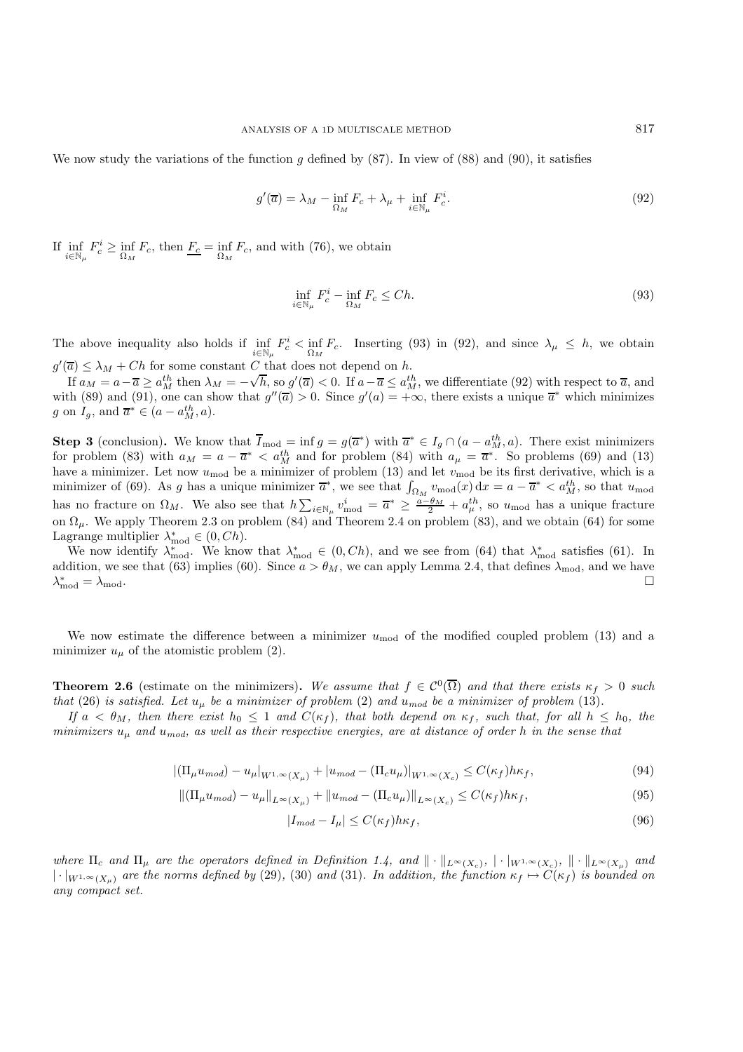We now study the variations of the function g defined by  $(87)$ . In view of  $(88)$  and  $(90)$ , it satisfies

$$
g'(\overline{a}) = \lambda_M - \inf_{\Omega_M} F_c + \lambda_\mu + \inf_{i \in \mathbb{N}_\mu} F_c^i.
$$
\n(92)

If  $\inf_{i \in \mathbb{N}_{\mu}} F_c^i \ge \inf_{\Omega_M} F_c$ , then  $\frac{F_c}{\Omega_M} = \inf_{\Omega_M} F_c$ , and with (76), we obtain

$$
\inf_{i \in \mathbb{N}_{\mu}} F_c^i - \inf_{\Omega_M} F_c \le Ch. \tag{93}
$$

The above inequality also holds if  $\inf_{\Omega_M} F_c^* < \inf_{\Omega_M} F_c$ . Inserting (93) in (92), and since  $\lambda_\mu \leq h$ , we obtain  $g'(\overline{a}) \leq \lambda_M + Ch$  for some constant C that does not depend on h.<br>
If  $g_{\lambda} = g_{\lambda} = \overline{g} \geq g^{th}$  then  $g_{\lambda} = g_{\lambda}(\overline{a}) \geq 0$  if  $g_{\lambda} = \overline{g} \leq g^{th}$ 

If  $a_M = a - \overline{a} \ge a_M^{th}$  then  $\lambda_M = -\sqrt{h}$ , so  $g'(\overline{a}) < 0$ . If  $a - \overline{a} \le a_M^{th}$ , we differentiate (92) with respect to  $\overline{a}$ , and  $\lambda_M = -\sqrt{h}$ , so  $g'(\overline{a}) < 0$ . Since  $g'(a) = +\infty$  there exists a unique  $\overline{a}^*$  whi with (89) and (91), one can show that  $g''(\overline{a}) > 0$ . Since  $g'(a) = +\infty$ , there exists a unique  $\overline{a}^*$  which minimizes g on  $I_g$ , and  $\overline{a}^* \in (a - a_M^{th}, a)$ .

**Step 3** (conclusion). We know that  $\overline{I}_{\text{mod}} = \inf g = g(\overline{a}^*)$  with  $\overline{a}^* \in I_g \cap (a - a_{M}^{th}, a)$ . There exist minimizers for problem (83) with  $a_{M} = \overline{a}^* \leq a_{M}^{th}$  and for problem (84) with  $a_{M} = \overline{a}^*$ . So probl for problem (83) with  $a_M = a - \overline{a}^* < a_M^{th}$  and for problem (84) with  $a_\mu = \overline{a}^*$ . So problems (69) and (13) have a minimizer. Let now use the a minimizer of problem (13) and let  $v_{\mu}$  she its first derivative which have a minimizer. Let now  $u_{\text{mod}}$  be a minimizer of problem (13) and let  $v_{\text{mod}}$  be its first derivative, which is a minimizer of (69). As a has a unique minimizer  $\overline{\sigma}^*$ , we see that  $\int_{v_1}^{v_1} \cdots \cdots \cdots \cdots \cdots \$ minimizer of (69). As g has a unique minimizer  $\overline{a}^*$ , we see that  $\int_{\Omega_M} v_{\text{mod}}(x) dx = a - \overline{a}^* \langle a_M^{th}, s_0 \rangle$  that  $u_{\text{mod}}$ has no fracture on  $\Omega_M$ . We also see that  $h \sum_{i \in \mathbb{N}_\mu} v_{\text{mod}}^i = \overline{a}^* \geq \frac{a - \theta_M}{2} + a_\mu^{th}$ , so  $u_{\text{mod}}$  has a unique fracture on  $\Omega_{\mu}$ . We apply Theorem 2.3 on problem (84) and Theorem 2.4 on problem (83), and we obtain (64) for some Lagrange multiplier  $\lambda_{\text{mod}}^* \in (0, Ch)$ .<br>We now identify  $\lambda^*$  We know

We now identify  $\lambda_{\text{mod}}^*$ . We know that  $\lambda_{\text{mod}}^* \in (0, Ch)$ , and we see from (64) that  $\lambda_{\text{mod}}^*$  satisfies (61). In dition we see that (63) implies (60). Since  $a > \theta_M$  we can apply Lemma 2.4, that defines  $\lambda_{\text{mod}}$ addition, we see that (63) implies (60). Since  $a > \theta_M$ , we can apply Lemma 2.4, that defines  $\lambda_{\text{mod}}$ , and we have  $\lambda_{mod}^* = \lambda_{mod}$ .  $\mathcal{L}_{\text{mod}}^* = \lambda_{\text{mod}}.$ 

We now estimate the difference between a minimizer  $u_{mod}$  of the modified coupled problem (13) and a minimizer  $u_{\mu}$  of the atomistic problem (2).

**Theorem 2.6** (estimate on the minimizers). We assume that  $f \in C^0(\overline{\Omega})$  and that there exists  $\kappa_f > 0$  such *that* (26) *is satisfied. Let*  $u_{\mu}$  *be a minimizer of problem* (2) *and*  $u_{mod}$  *be a minimizer of problem* (13)*.* 

*If*  $a < \theta_M$ , then there exist  $h_0 \leq 1$  and  $C(\kappa_f)$ , that both depend on  $\kappa_f$ , such that, for all  $h \leq h_0$ , the *minimizers* <sup>u</sup>µ *and* <sup>u</sup>*mod, as well as their respective energies, are at distance of order* <sup>h</sup> *in the sense that*

$$
|(\Pi_{\mu}u_{mod}) - u_{\mu}|_{W^{1,\infty}(X_{\mu})} + |u_{mod} - (\Pi_{c}u_{\mu})|_{W^{1,\infty}(X_{c})} \leq C(\kappa_{f})h\kappa_{f},
$$
\n(94)

$$
\left\| \left( \Pi_{\mu} u_{mod} \right) - u_{\mu} \right\|_{L^{\infty}(X_{\mu})} + \left\| u_{mod} - \left( \Pi_{c} u_{\mu} \right) \right\|_{L^{\infty}(X_{c})} \leq C(\kappa_{f}) h \kappa_{f},\tag{95}
$$

$$
|I_{mod} - I_{\mu}| \le C(\kappa_f)h\kappa_f,\tag{96}
$$

*where*  $\Pi_c$  *and*  $\Pi_{\mu}$  *are the operators defined in Definition 1.4, and*  $\|\cdot\|_{L^{\infty}(X_c)}$ ,  $|\cdot|_{W^{1,\infty}(X_c)}$ ,  $\|\cdot\|_{L^{\infty}(X_{\mu})}$  *and*<br> $\|\cdot\|_{L^{\infty}(X_{\mu})}$  *and*  $\Pi_{\mu}$  *are the narrow defined by (20)* (20) and  $|\cdot|_{W^{1,\infty}(X_\mu)}$  *are the norms defined by* (29), (30) *and* (31)*. In addition, the function*  $\kappa_f$  →  $C(\kappa_f)$  *is bounded on any compact set.*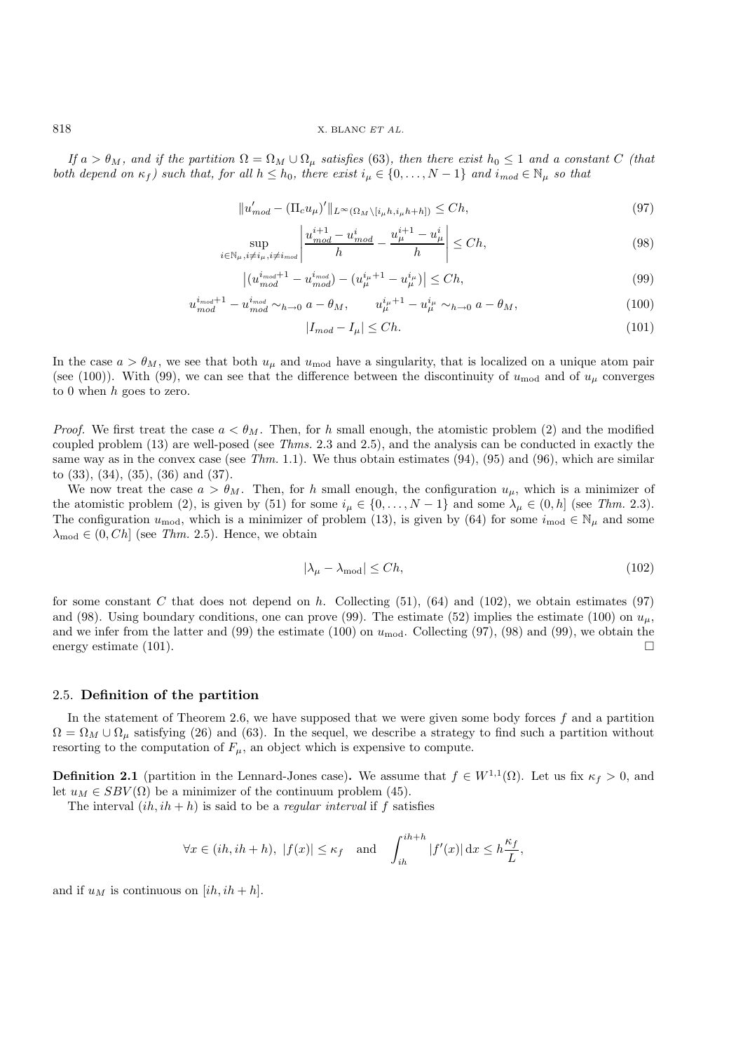818 X. BLANC *ET AL.*

*If*  $a > \theta_M$ , and if the partition  $\Omega = \Omega_M \cup \Omega_\mu$  satisfies (63), then there exist  $h_0 \leq 1$  and a constant C *(that both depend on*  $\kappa_f$ *) such that, for all*  $h \leq h_0$ *, there exist*  $i_\mu \in \{0, \ldots, N-1\}$  *and*  $i_{mod} \in \mathbb{N}_\mu$  *so that* 

$$
||u'_{mod} - (\Pi_c u_\mu)'||_{L^\infty(\Omega_M \setminus [i_\mu h, i_\mu h + h])} \le Ch,\tag{97}
$$

$$
\sup_{i \in \mathbb{N}_{\mu}, i \neq i_{\mu}, i \neq i_{mod}} \left| \frac{u_{mod}^{i+1} - u_{mod}^i}{h} - \frac{u_{\mu}^{i+1} - u_{\mu}^i}{h} \right| \le Ch,\tag{98}
$$

$$
\left| (u_{mod}^{i_{mod}+1} - u_{mod}^{i_{mod}}) - (u_{\mu}^{i_{\mu}+1} - u_{\mu}^{i_{\mu}}) \right| \le Ch,
$$
\n(99)

$$
u_{mod}^{i_{mod}+1} - u_{mod}^{i_{mod}} \sim_{h \to 0} a - \theta_M, \qquad u_{\mu}^{i_{\mu}+1} - u_{\mu}^{i_{\mu}} \sim_{h \to 0} a - \theta_M,\tag{100}
$$

$$
|I_{mod} - I_{\mu}| \le Ch. \tag{101}
$$

In the case  $a>\theta_M$ , we see that both  $u_\mu$  and  $u_{\text{mod}}$  have a singularity, that is localized on a unique atom pair (see (100)). With (99), we can see that the difference between the discontinuity of  $u_{mod}$  and of  $u_{\mu}$  converges to 0 when  $h$  goes to zero.

*Proof.* We first treat the case  $a < \theta_M$ . Then, for h small enough, the atomistic problem (2) and the modified coupled problem (13) are well-posed (see *Thms.* 2.3 and 2.5), and the analysis can be conducted in exactly the same way as in the convex case (see *Thm.* 1.1). We thus obtain estimates (94), (95) and (96), which are similar to (33), (34), (35), (36) and (37).

We now treat the case  $a > \theta_M$ . Then, for h small enough, the configuration  $u_\mu$ , which is a minimizer of the atomistic problem (2), is given by (51) for some  $i_{\mu} \in \{0, \ldots, N-1\}$  and some  $\lambda_{\mu} \in (0, h]$  (see *Thm.* 2.3). The configuration  $u_{\text{mod}}$ , which is a minimizer of problem (13), is given by (64) for some  $i_{\text{mod}} \in \mathbb{N}_{\mu}$  and some  $\lambda_{\text{mod}} \in (0, Ch]$  (see *Thm.* 2.5). Hence, we obtain

$$
|\lambda_{\mu} - \lambda_{\text{mod}}| \le Ch,\tag{102}
$$

for some constant C that does not depend on h. Collecting  $(51)$ ,  $(64)$  and  $(102)$ , we obtain estimates  $(97)$ and (98). Using boundary conditions, one can prove (99). The estimate (52) implies the estimate (100) on  $u_u$ , and we infer from the latter and (99) the estimate (100) on  $u_{\text{mod}}$ . Collecting (97), (98) and (99), we obtain the energy estimate (101). energy estimate (101).

## 2.5. **Definition of the partition**

In the statement of Theorem 2.6, we have supposed that we were given some body forces  $f$  and a partition  $\Omega = \Omega_M \cup \Omega_\mu$  satisfying (26) and (63). In the sequel, we describe a strategy to find such a partition without resorting to the computation of  $F_{\mu}$ , an object which is expensive to compute.

**Definition 2.1** (partition in the Lennard-Jones case). We assume that  $f \in W^{1,1}(\Omega)$ . Let us fix  $\kappa_f > 0$ , and let  $u_M \in SBV(\Omega)$  be a minimizer of the continuum problem (45).

The interval  $(ih, ih + h)$  is said to be a *regular interval* if f satisfies

$$
\forall x \in (ih, ih + h), \ |f(x)| \le \kappa_f \quad \text{and} \quad \int_{ih}^{ih + h} |f'(x)| \, dx \le h \frac{\kappa_f}{L},
$$

and if  $u_M$  is continuous on  $[ih, ih+h]$ .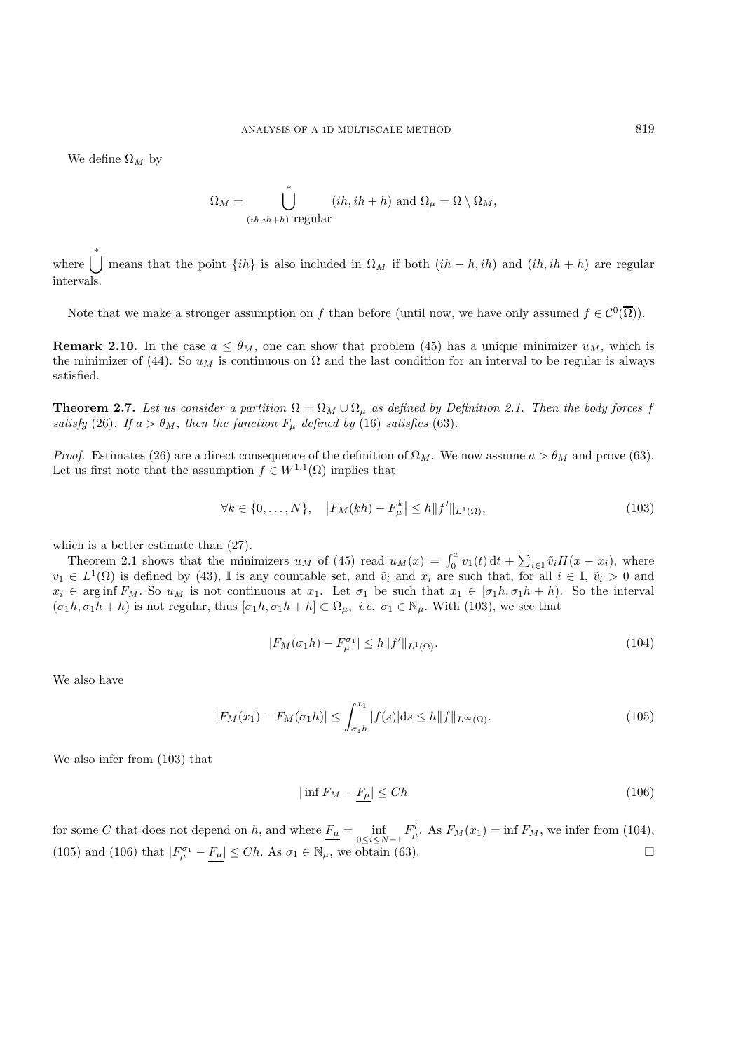We define  $\Omega_M$  by

$$
\Omega_M = \bigcup_{(ih, ih+h) \text{ regular}}^* (ih, ih+h) \text{ and } \Omega_\mu = \Omega \setminus \Omega_M,
$$

where  $\bigcup_{k=1}^{k}$  means that the point  $\{ih\}$  is also included in  $\Omega_M$  if both  $(ih-h, ih)$  and  $(ih, ih+h)$  are regular intervals.

Note that we make a stronger assumption on f than before (until now, we have only assumed  $f \in C^0(\overline{\Omega})$ ).

**Remark 2.10.** In the case  $a \leq \theta_M$ , one can show that problem (45) has a unique minimizer  $u_M$ , which is the minimizer of (44). So  $u_M$  is continuous on  $\Omega$  and the last condition for an interval to be regular is always satisfied.

**Theorem 2.7.** *Let us consider a partition*  $\Omega = \Omega_M \cup \Omega_\mu$  *as defined by Definition 2.1. Then the body forces* f *satisfy* (26)*. If*  $a > \theta_M$ *, then the function*  $F_\mu$  *defined by* (16) *satisfies* (63)*.* 

*Proof.* Estimates (26) are a direct consequence of the definition of  $\Omega_M$ . We now assume  $a > \theta_M$  and prove (63). Let us first note that the assumption  $f \in W^{1,1}(\Omega)$  implies that

$$
\forall k \in \{0, ..., N\}, \quad |F_M(kh) - F_{\mu}^k| \le h \|f'\|_{L^1(\Omega)},\tag{103}
$$

which is a better estimate than (27).

Theorem 2.1 shows that the minimizers  $u_M$  of (45) read  $u_M(x) = \int_0^x v_1(t) dt + \sum_{i \in \mathbb{I}} \tilde{v}_i H(x - x_i)$ , where  $v_1 \in L^1(\Omega)$  is defined by (43), I is any countable set, and  $\tilde{v}_i$  and  $x_i$  are such that, for all  $i \in \mathbb{I}$ ,  $\tilde{v}_i > 0$  and  $x_i \in \text{array}$  are such that, for all  $i \in \mathbb{I}$ ,  $\tilde{v}_i > 0$  and  $x_i \in \text{array}$  are such t  $x_i \in \arginf F_M$ . So  $u_M$  is not continuous at  $x_1$ . Let  $\sigma_1$  be such that  $x_1 \in [\sigma_1 h, \sigma_1 h + h]$ . So the interval  $(\sigma_1 h, \sigma_1 h + h)$  is not regular, thus  $[\sigma_1 h, \sigma_1 h + h] \subset \Omega_\mu$ , *i.e.*  $\sigma_1 \in \mathbb{N}_\mu$ . With (103), we see that

$$
|F_M(\sigma_1 h) - F_{\mu}^{\sigma_1}| \le h \|f'\|_{L^1(\Omega)}.
$$
\n(104)

We also have

$$
|F_M(x_1) - F_M(\sigma_1 h)| \le \int_{\sigma_1 h}^{x_1} |f(s)| ds \le h \|f\|_{L^\infty(\Omega)}.
$$
\n(105)

We also infer from (103) that

$$
|\inf F_M - \underline{F_\mu}| \le Ch \tag{106}
$$

for some C that does not depend on h, and where  $\underline{F_{\mu}} = \inf_{0 \le i \le N-1} F_{\mu}^i$ . As  $F_M(x_1) = \inf F_M$ , we infer from (104),<br>(105) and (106) that  $|F_{\mu}| = E \times Ch$ , As  $\sigma \in \mathbb{N}$ , we are  $\lim_{k \to \infty} (62)$ (105) and (106) that  $|F_{\mu}^{\sigma_1} - F_{\mu}| \leq Ch$ . As  $\sigma_1 \in \mathbb{N}_{\mu}$ , we obtain (63).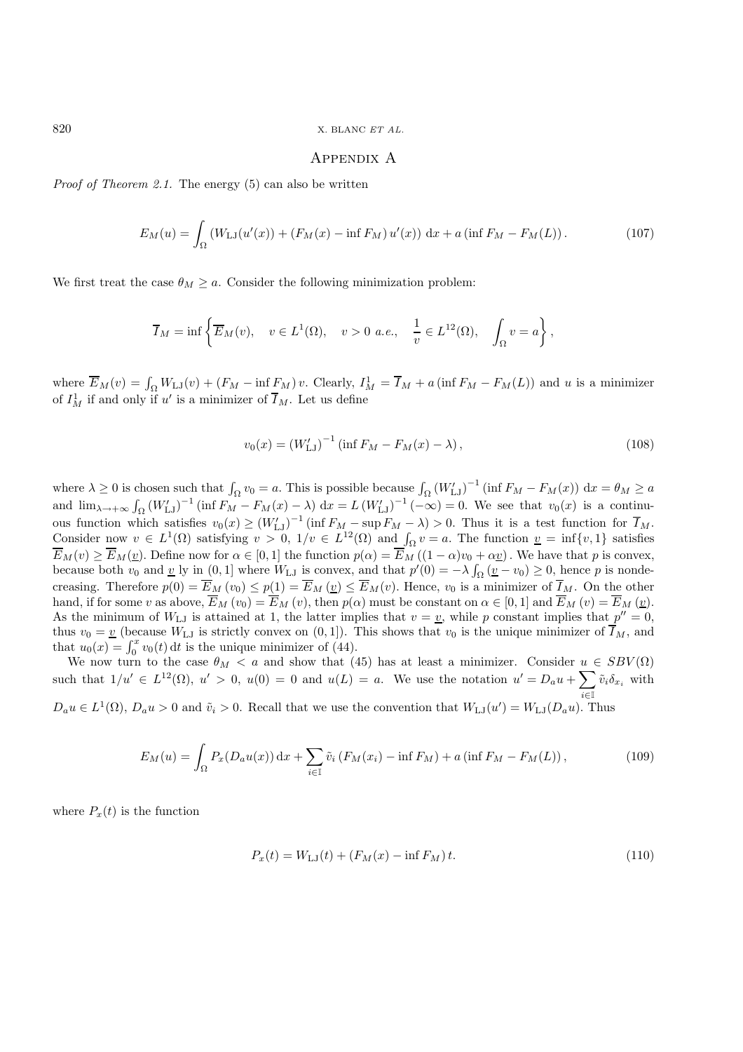820 X. BLANC *ET AL.*

#### Appendix A

*Proof of Theorem 2.1.* The energy (5) can also be written

$$
E_M(u) = \int_{\Omega} \left( W_{\text{LJ}}(u'(x)) + \left( F_M(x) - \inf F_M \right) u'(x) \right) \, \mathrm{d}x + a \left( \inf F_M - F_M(L) \right). \tag{107}
$$

We first treat the case  $\theta_M > a$ . Consider the following minimization problem:

$$
\overline{I}_M = \inf \left\{ \overline{E}_M(v), \quad v \in L^1(\Omega), \quad v > 0 \text{ a.e., } \frac{1}{v} \in L^{12}(\Omega), \quad \int_{\Omega} v = a \right\},\
$$

where  $\overline{E}_M(v) = \int_{\Omega} W_{\text{LJ}}(v) + (F_M - \inf F_M) v$ . Clearly,  $I_M^1 = \overline{I}_M + a$  (inf  $F_M - F_M(L)$ ) and u is a minimizer of  $I_M^1$  if and only if u' is a minimizer of  $\overline{I}_M$ . Let us define

$$
v_0(x) = (W'_{LJ})^{-1} (\inf F_M - F_M(x) - \lambda), \qquad (108)
$$

where  $\lambda \geq 0$  is chosen such that  $\int_{\Omega} v_0 = a$ . This is possible because  $\int_{\Omega} (W'_{LJ})^{-1} (\inf F_M - F_M(x)) dx = \theta_M \geq a$ and  $\lim_{\lambda \to +\infty} \int_{\Omega} (W'_{LJ})^{-1} (\inf F_M - F_M(x) - \lambda) dx = L (W'_{LJ})^{-1} (-\infty) = 0$ . We see that  $v_0(x)$  is a continuous function which satisfies  $v_0(x) \ge (W'_{LJ})^{-1} (\inf F_M - \sup F_M - \lambda) > 0$ . Thus it is a test function for  $\overline{I}_M$ .<br>Consider now  $v \in L^1(\Omega)$  satisfying  $v > 0$ ,  $1/v \in L^{12}(\Omega)$  and  $\int v = a$ . The function  $v = \inf \{v, 1\}$  satisfies Consider now  $v \in L^1(\Omega)$  satisfying  $v > 0$ ,  $1/v \in L^{12}(\Omega)$  and  $\int_{\Omega} v = a$ . The function  $v = \inf\{v, 1\}$  satisfies  $\overline{E}_M(v) \geq \overline{E}_M(v)$ . Define now for  $\alpha \in [0,1]$  the function  $p(\alpha) = \overline{E}_M((1-\alpha)v_0 + \alpha v)$ . We have that p is convex, because both  $v_0$  and <u>v</u> ly in  $(0, 1]$  where  $W_{\text{LJ}}$  is convex, and that  $p'(0) = -\lambda \int_{\Omega} \left(\frac{v}{\omega} - v_0\right) \geq 0$ , hence p is nonde-<br>grossing. Therefore  $p(0) = \overline{E}_p(x) \leq p(1) = \overline{E}_p(x) \leq \overline{E}_p(x)$ . Hence we is a min creasing. Therefore  $p(0) = E_M(v_0) \leq p(1) = E_M(v) \leq E_M(v)$ . Hence,  $v_0$  is a minimizer of  $I_M$ . On the other hand, if for some v as above,  $E_M(v_0) = E_M(v)$ , then  $p(\alpha)$  must be constant on  $\alpha \in [0,1]$  and  $E_M(v) = E_M(v)$ .<br>As the minimum of  $W_{\alpha}$ , is attained at 1, the latter implies that  $v = v$ , while n constant implies that  $n'' = 0$ . As the minimum of  $W_{LJ}$  is attained at 1, the latter implies that  $v = v$ , while p constant implies that  $p'' = 0$ , thus  $v_0 = v$  (because  $W_{LJ}$  is strictly convex on  $(0, 1]$ ). This shows that  $v_0$  is the unique minimizer of  $\overline{I}_M$ , and that  $u_0(x) = \int_0^x v_0(t) dt$  is the unique minimizer of (44).<br>We now turn to the case  $\theta_{\mathcal{M}} \leq a$  and show that (

We now turn to the case  $\theta_M < a$  and show that (45) has at least a minimizer. Consider  $u \in SBV(\Omega)$ such that  $1/u' \in L^{12}(\Omega)$ ,  $u' > 0$ ,  $u(0) = 0$  and  $u(L) = a$ . We use the notation  $u' = D_a u + \sum_{i \in \mathbb{I}} \tilde{v}_i \delta_{x_i}$  with  $i ∈ II$  $D_a u \in L^1(\Omega)$ ,  $D_a u > 0$  and  $\tilde{v}_i > 0$ . Recall that we use the convention that  $W_{LJ}(u') = W_{LJ}(D_a u)$ . Thus

$$
E_M(u) = \int_{\Omega} P_x(D_a u(x)) dx + \sum_{i \in \mathbb{I}} \tilde{v}_i (F_M(x_i) - \inf F_M) + a (\inf F_M - F_M(L)), \tag{109}
$$

where  $P_x(t)$  is the function

$$
P_x(t) = W_{LJ}(t) + (F_M(x) - \inf F_M)t.
$$
\n(110)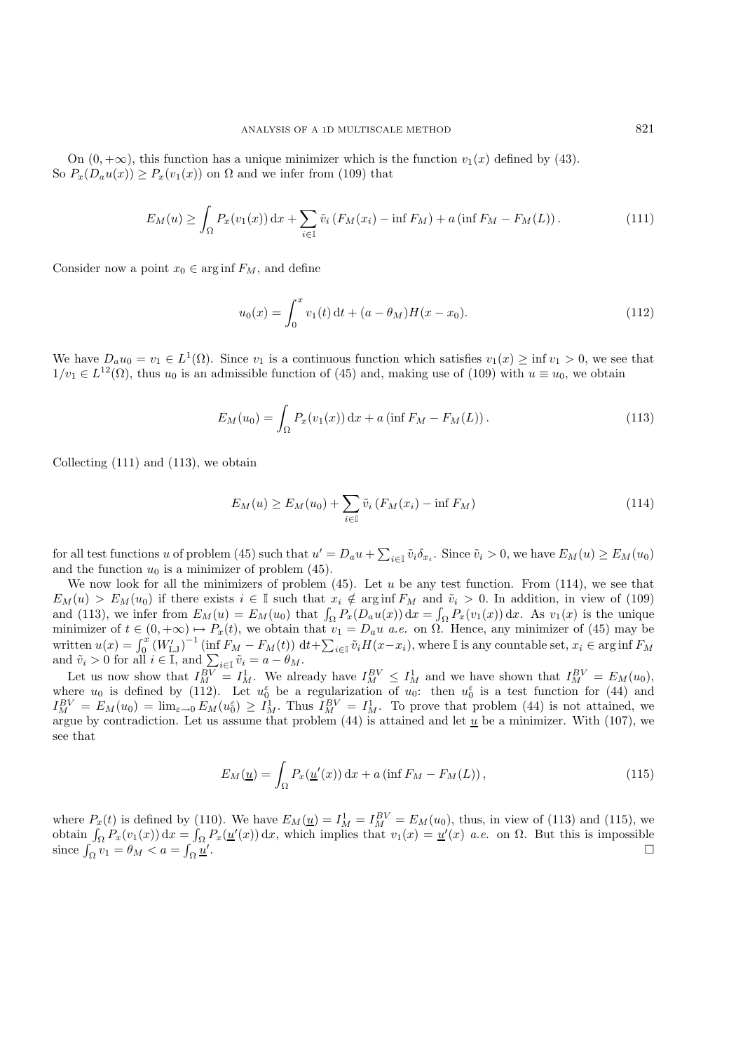On  $(0, +\infty)$ , this function has a unique minimizer which is the function  $v_1(x)$  defined by (43). So  $P_x(D_a u(x)) \ge P_x(v_1(x))$  on  $\Omega$  and we infer from (109) that

$$
E_M(u) \ge \int_{\Omega} P_x(v_1(x)) dx + \sum_{i \in \mathbb{I}} \tilde{v}_i (F_M(x_i) - \inf F_M) + a (\inf F_M - F_M(L)). \tag{111}
$$

Consider now a point  $x_0 \in \arginf F_M$ , and define

$$
u_0(x) = \int_0^x v_1(t) dt + (a - \theta_M) H(x - x_0).
$$
 (112)

We have  $D_a u_0 = v_1 \in L^1(\Omega)$ . Since  $v_1$  is a continuous function which satisfies  $v_1(x) \ge \inf v_1 > 0$ , we see that  $1/v_1 \in L^{12}(\Omega)$ , thus  $u_0$  is an admissible function of (45) and, making use of (109) with  $u \equiv u_0$ , we obtain

$$
E_M(u_0) = \int_{\Omega} P_x(v_1(x)) dx + a \left( \inf F_M - F_M(L) \right). \tag{113}
$$

Collecting (111) and (113), we obtain

$$
E_M(u) \ge E_M(u_0) + \sum_{i \in \mathbb{I}} \tilde{v}_i \left( F_M(x_i) - \inf F_M \right) \tag{114}
$$

for all test functions u of problem (45) such that  $u' = D_a u + \sum_{i \in \mathbb{I}} \tilde{v}_i \delta_{x_i}$ . Since  $\tilde{v}_i > 0$ , we have  $E_M(u) \ge E_M(u_0)$ and the function  $u_0$  is a minimizer of problem (45).

We now look for all the minimizers of problem (45). Let u be any test function. From (114), we see that  $E_M(u) > E_M(u_0)$  if there exists  $i \in \mathbb{I}$  such that  $x_i \notin \arginf F_M$  and  $\tilde{v}_i > 0$ . In addition, in view of (109)  $E_M(u) > E_M(u_0)$  if there exists  $i \in \mathbb{I}$  such that  $x_i \notin \arginf F_M$  and  $\tilde{v}_i > 0$ . In addition, in view of (109)<br>and (113) we infer from  $F_{\mathcal{M}}(u) = F_{\mathcal{M}}(u_0)$  that  $\int_{\mathbb{I}} P(D_u(u_0)) dx = \int_{\mathbb{I}} P(u_0(x)) dx$ . As  $v_i(x)$  is t and (113), we infer from  $E_M(u) = E_M(u_0)$  that  $\int_{\Omega} P_x(D_a u(x)) dx = \int_{\Omega} P_x(v_1(x)) dx$ . As  $v_1(x)$  is the unique minimizer of  $t \in (0, +\infty) \mapsto P(t)$  we obtain that  $v_t = D, u, e$  on  $\Omega$ . Hence, any minimizer of (45) may be minimizer of  $t \in (0, +\infty) \mapsto P_x(t)$ , we obtain that  $v_1 = D_a u$  *a.e.* on  $\Omega$ . Hence, any minimizer of (45) may be<br>written  $u(x) = \int_x^x (W^{t-1})^{-1} (\inf_{x \in E} F^{-(t)}) dt + \sum_{x \in E} \tilde{u}(x-x)$  where  $\tilde{x}$  is any countable set  $x \in \text{const}$  written  $u(x) = \int_0^x (W'_{LJ})^{-1} (\inf F_M - F_M(t)) dt + \sum_{i \in I} \tilde{v}_i H(x - x_i)$ , where I is any countable set,  $x_i \in \arginf F_M$ and  $\tilde{v}_i > 0$  for all  $i \in \mathbb{I}$ , and  $\sum_{i \in \mathbb{I}} \tilde{v}_i = a - \theta_M$ .<br>Let us now show that  $I^{BV} = I^1$ . We also

Let us now show that  $I_{M}^{BV} = I_{M}^{1}$ . We already have  $I_{M}^{BV} \leq I_{M}^{1}$  and we have shown that  $I_{M}^{BV} = E_{M}(u_{0}),$ <br>ere  $u_{0}$  is defined by (112). Let  $u_{\epsilon}^{\epsilon}$  be a regularization of  $u_{\epsilon}$ ; then  $u_{\epsilon}^{\epsilon}$  is a t where  $u_0$  is defined by (112). Let  $u_0^{\varepsilon}$  be a regularization of  $u_0$ : then  $u_0^{\varepsilon}$  is a test function for (44) and  $I^{BV} = F_{\varepsilon}(u_0) = \lim_{\varepsilon \to 0} F_{\varepsilon}(u_0^{\varepsilon}) > I^1$ . Thus  $I^{BV} = I^1$ . To prove that problem (  $I_{M}^{BV} = E_M(u_0) = \lim_{\varepsilon \to 0} E_M(u_0^{\varepsilon}) \geq I_M^1$ . Thus  $I_M^{BV} = I_M^1$ . To prove that problem (44) is not attained, we argue by contradiction. Let us assume that problem (44) is attained and let u be a minimizer. With (107) w argue by contradiction. Let us assume that problem (44) is attained and let  $\underline{u}$  be a minimizer. With (107), we<br>see that see that

$$
E_M(\underline{u}) = \int_{\Omega} P_x(\underline{u}'(x)) dx + a \left( \inf F_M - F_M(L) \right), \qquad (115)
$$

where  $P_x(t)$  is defined by (110). We have  $E_M(\underline{u}) = I_M^1 = I_M^{BV} = E_M(u_0)$ , thus, in view of (113) and (115), we obtain  $\int_{\Omega} P_x(v_1(x)) dx = \int_{\Omega} P_x(\underline{u}'(x)) dx$ , which implies that  $v_1(x) = \underline{u}'(x)$  *a.e.* on  $\Omega$ . But this is imposs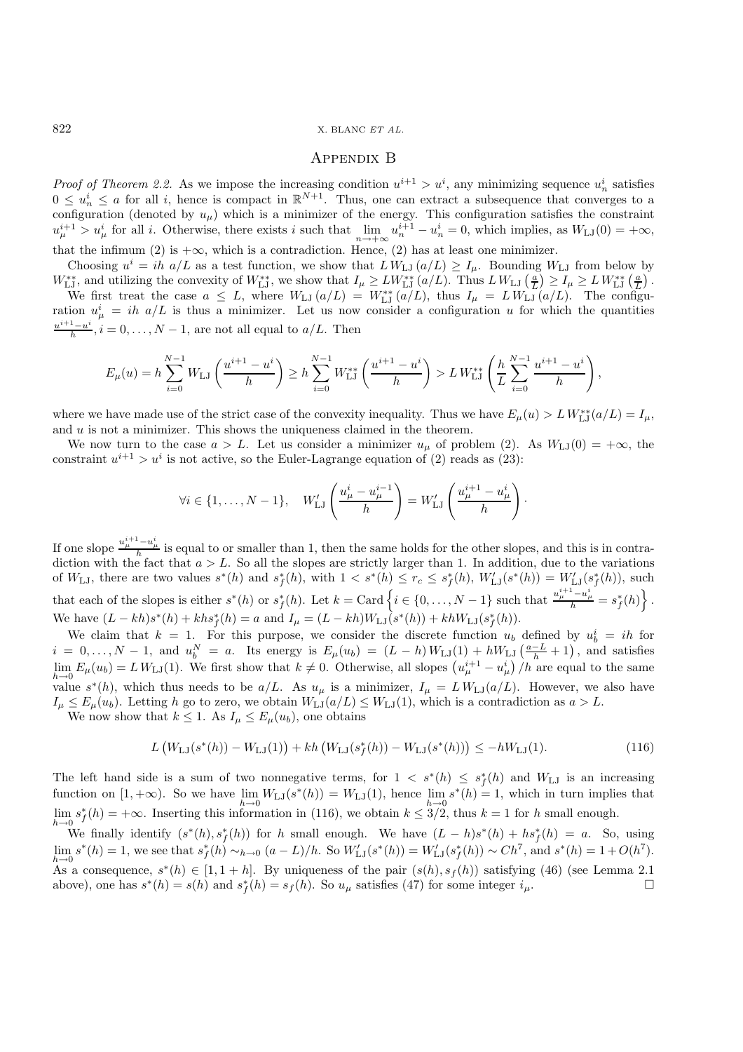### Appendix B

*Proof of Theorem 2.2.* As we impose the increasing condition  $u^{i+1} > u^i$ , any minimizing sequence  $u^i_n$  satisfies  $0 \le u^i \le a$  for all inherence is compact in  $\mathbb{R}^{N+1}$ . Thus, one can extract a subsequence that conv  $0 \leq u_r^i$  $0 \leq u_n^i \leq a$  for all i, hence is compact in  $\mathbb{R}^{N+1}$ . Thus, one can extract a subsequence that converges to a configuration (denoted by  $u_{\mu}$ ) which is a minimizer of the energy. This configuration satisfies the constraint  $u^{i+1} \ge u^{i}$  for all in Otherwise, there exists a such that  $\lim_{x \to i} u^{i+1} = 0$  which implies as  $W_{\lambda}(0$  $u_{\mu}^{i+1} > u_{\mu}^{i}$  for all *i*. Otherwise, there exists *i* such that  $\lim_{n \to +\infty} u_{n}^{i+1} - u_{n}^{i} = 0$ , which implies, as  $W_{\text{LJ}}(0) = +\infty$ , that the infimum (2) is  $\log x$  which is a contradiction. Hence (2) has at le that the infimum (2) is  $+\infty$ , which is a contradiction. Hence, (2) has at least one minimizer.

Choosing  $u^i = ih \ a/L$  as a test function, we show that  $L W_{LJ} (a/L) \geq I_{\mu}$ . Bounding  $W_{LJ}$  from below by  $W_{\text{LJ}}^{**}$ , and utilizing the convexity of  $W_{\text{LJ}}^{**}$ , we show that  $I_{\mu} \geq LW_{\text{LJ}}^{**}(a/L)$ . Thus  $L W_{\text{LJ}}\left(\frac{a}{L}\right) \geq I_{\mu} \geq L W_{\text{LJ}}^{**}\left(\frac{a}{L}\right)$ .<br>We first treat the case  $a \leq L$ , where  $W_{\text{LJ}}(a/L) = W^{**}(a/L$ 

We first treat the case  $a \leq L$ , where  $W_{LJ}(a/L) = W_{LJ}^{**}(a/L)$ , thus  $I_{\mu} = L W_{LJ}(a/L)$ . The configu-<br>ion  $u^{i} = ib$  all is thus a minimizer. Let us now consider a configuration u for which the quantities ration  $u^i_{\mu} = ih \ a/L$  is thus a minimizer. Let us now consider a configuration u for which the quantities  $\frac{u^{i+1}-u^i}{h}, i=0,\ldots,N-1$ , are not all equal to  $a/L$ . Then

$$
E_{\mu}(u) = h \sum_{i=0}^{N-1} W_{\mathrm{LJ}} \left( \frac{u^{i+1} - u^i}{h} \right) \ge h \sum_{i=0}^{N-1} W_{\mathrm{LJ}}^{**} \left( \frac{u^{i+1} - u^i}{h} \right) > L W_{\mathrm{LJ}}^{**} \left( \frac{h}{L} \sum_{i=0}^{N-1} \frac{u^{i+1} - u^i}{h} \right),
$$

where we have made use of the strict case of the convexity inequality. Thus we have  $E_{\mu}(u) > L W_{\text{LJ}}^{**}(a/L) = I_{\mu}$ , and  $u$  is not a minimizer. This shows the uniqueness claimed in the theorem.

We now turn to the case  $a > L$ . Let us consider a minimizer  $u_{\mu}$  of problem (2). As  $W_{LJ}(0) = +\infty$ , the constraint  $u^{i+1} > u^i$  is not active, so the Euler-Lagrange equation of (2) reads as (23):

$$
\forall i \in \{1, ..., N-1\}, \quad W'_{\text{LJ}}\left(\frac{u^i_\mu - u^{i-1}_\mu}{h}\right) = W'_{\text{LJ}}\left(\frac{u^{i+1}_\mu - u^i_\mu}{h}\right).
$$

If one slope  $\frac{u_{\mu}^{i+1}-u_{\mu}^{i}}{h}$  is equal to or smaller than 1, then the same holds for the other slopes, and this is in contra-<br>diction with the fact that  $a > L$ . So all the slopes are strictly larger than 1. In ad diction with the fact that  $a > L$ . So all the slopes are strictly larger than 1. In addition, due to the variations of  $W_{\text{LJ}}$ , there are two values  $s^*(h)$  and  $s_f^*(h)$ , with  $1 < s^*(h) \leq r_c \leq s_f^*(h)$ ,  $W'_{\text{LJ}}(s^*(h)) = W'_{\text{LJ}}(s_f^*(h))$ , such that each of the slopes is either  $s^*(h)$  or  $s_f^*(h)$ . Let  $k = \text{Card} \{i \in \{0, ..., N-1\}$  such that  $\frac{u_{\mu}^{i+1} - u_{\mu}^{i}}{h} = s_f^*(h)\}$ We have  $(L - kh)s^*(h) + kh s_f^*(h) = a$  and  $I_\mu = (L - kh)W_{\text{LJ}}(s^*(h)) + kh W_{\text{LJ}}(s_f^*(h)).$ <br>We claim that  $h = 1$ . For this numbers, we somehop the disente function  $\mu$ .

We claim that  $k = 1$ . For this purpose, we consider the discrete function  $u_b$  defined by  $u_b^i = ih$  for  $i = 0, \ldots, N-1$ , and  $u_b^N = a$ . Its energy is  $E_\mu(u_b) = (L - h)W_{LJ}(1) + hW_{LJ}\left(\frac{a-L}{h} + 1\right)$ , and satisfies<br> $\lim_{L \to \infty} E(u_b) = L W_{LJ}(1)$ . We first show that  $k \neq 0$ . Otherwise, all slopes  $(u^{i+1} - u^{i})/h$  are equal to the same  $\lim_{h\to 0} E_{\mu}(u_b) = L W_{LJ}(1)$ . We first show that  $k \neq 0$ . Otherwise, all slopes  $(u_{\mu}^{i+1} - u_{\mu}^i)/h$  are equal to the same walue  $s^*(h)$ , which thus needs to be  $a/L$ . As  $u_\mu$  is a minimizer,  $I_\mu = L W_{LJ}(a/L)$ . However, we also have  $I \leq E(u)$ . Letting h go to zero, we obtain  $W_{LJ}(a/L) \leq W_{LJ}(1)$ , which is a contradiction as  $a > L$ .  $I_{\mu} \leq E_{\mu}(u_b)$ . Letting h go to zero, we obtain  $W_{LJ}(a/L) \leq W_{LJ}(1)$ , which is a contradiction as  $a > L$ . We now show that  $k \leq 1$ . As  $I_{\mu} \leq E_{\mu}(u_b)$ , one obtains

$$
L\left(W_{\text{LJ}}(s^*(h)) - W_{\text{LJ}}(1)\right) + kh\left(W_{\text{LJ}}(s_f^*(h)) - W_{\text{LJ}}(s^*(h))\right) \le -hW_{\text{LJ}}(1). \tag{116}
$$

The left hand side is a sum of two nonnegative terms, for  $1 < s^*(h) \leq s_f^*(h)$  and  $W_{\text{LJ}}$  is an increasing function on  $[1 + \infty)$ . So we have  $\lim_{x \to a} W_{\text{LJ}}(s^*(h)) = W_{\text{LJ}}(1)$  hance  $\lim_{x \to b} s^*(h) = 1$  which in turn im function on [1, +∞). So we have  $\lim_{h\to 0} W_{LJ}(s^*(h)) = W_{LJ}(1)$ , hence  $\lim_{h\to 0} s^*(h) = 1$ , which in turn implies that  $\lim_{h\to 0} s^*(h) = +\infty$ . Inserting this information in (116), we obtain  $k \leq 3/2$ , thus  $k = 1$  for h smal  $\lim_{k \to \infty} s_f^*(h) = +\infty$ . Inserting this information in (116), we obtain  $k \leq 3/2$ , thus  $k = 1$  for h small enough.  $\lim_{h\to 0} s_f^*(h) = +\infty$ . Inserting this information in (116), we obtain  $k \leq 3/2$ , thus  $k = 1$  for h small enough.<br>We finally identify  $(s^*(h), s^*(h))$  for h small enough. We have  $(I-h)e^*(h) + he^*(h) = a$ . So

We finally identify  $(s^*(h), s^*_f(h))$  for h small enough. We have  $(L - h)s^*(h) + hs^*_f(h) = a$ . So, using  $\lim_{h \to 0} s^*(h) = 1$ , we see that  $s^*_f(h) \sim_{h \to 0} (a - L)/h$ . So  $W'_{LJ}(s^*(h)) = W'_{LJ}(s^*_f(h)) \sim Ch^7$ , and  $s^*(h) = 1 + O(h^7)$ .  $h\rightarrow0$ <br>As a consequence,  $s^*(h) \in [1, 1+h]$ . By uniqueness of the pair  $(s(h), s_f(h))$  satisfying (46) (see Lemma 2.1<br>above) one has  $s^*(h) = s(h)$  and  $s^*(h) = s_f(h)$ . So usatisfies (47) for some integer in above), one has  $s^*(h) = s(h)$  and  $s_f^*(h) = s_f(h)$ . So  $u_\mu$  satisfies (47) for some integer  $i_\mu$ .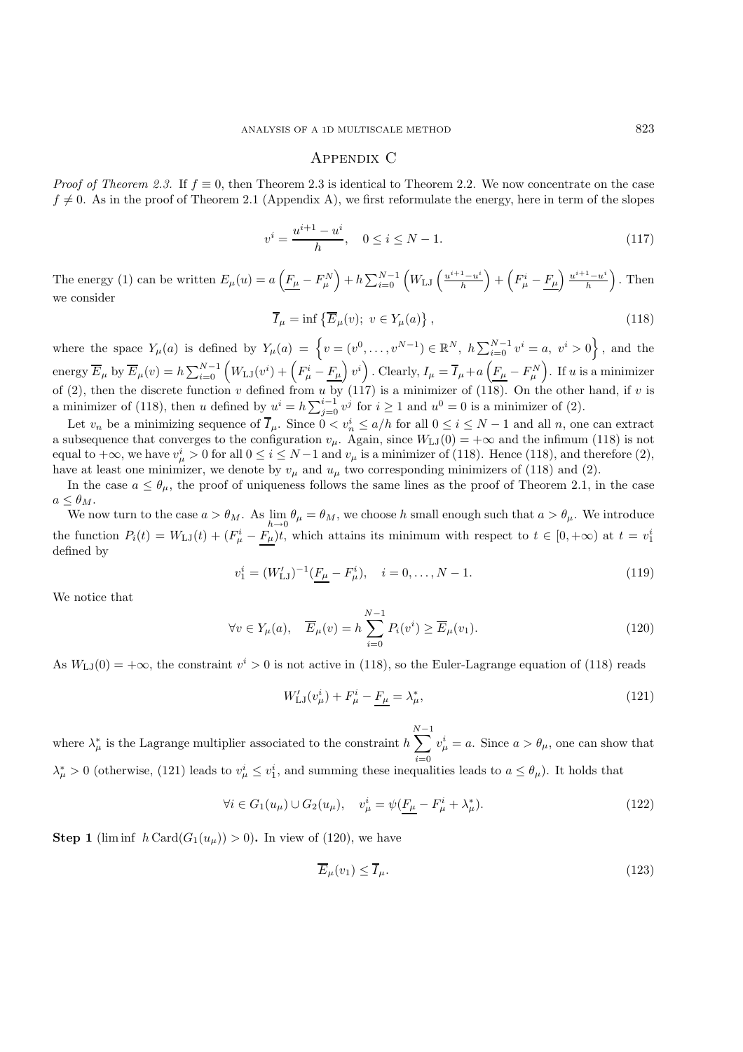# Appendix C

*Proof of Theorem 2.3.* If  $f \equiv 0$ , then Theorem 2.3 is identical to Theorem 2.2. We now concentrate on the case  $f \neq 0$ . As in the proof of Theorem 2.1 (Appendix A), we first reformulate the energy, here in term of the slopes

$$
v^{i} = \frac{u^{i+1} - u^{i}}{h}, \quad 0 \le i \le N - 1.
$$
\n(117)

The energy (1) can be written  $E_{\mu}(u) = a \left( \underline{F_{\mu}} - F_{\mu}^{N} \right)$  $\Big) + h \sum_{i=0}^{N-1} \Big( W_{\mathrm{LJ}} \left( \frac{u^{i+1} - u^{i+1}}{h} \right) \Big)$  $\left(F_{\mu}^{i}-\underline{F_{\mu}}\right)\frac{u^{i+1}-u^{i}}{h}$  $\Big)$  . Then we consider

$$
\overline{I}_{\mu} = \inf \left\{ \overline{E}_{\mu}(v); \ v \in Y_{\mu}(a) \right\},\tag{118}
$$

where the space  $Y_\mu(a)$  is defined by  $Y_\mu(a) = \left\{ v = (v^0, \ldots, v^{N-1}) \in \mathbb{R}^N, h\sum_{i=0}^{N-1} v^i = a, v^i > 0 \right\}$ , and the energy  $\overline{E}_{\mu}$  by  $\overline{E}_{\mu}(v) = h \sum_{i=0}^{N-1} \left( W_{\text{LJ}}(v^i) + \left( F_{\mu}^i - \underline{F_{\mu}} \right) v^i \right)$ . Clearly,  $I_{\mu} = \overline{I}_{\mu} + a \left( \underline{F_{\mu}} - F_{\mu}^N \right)$ ). If  $u$  is a minimizer of (2), then the discrete function v defined from u by (117) is a minimizer of (118). On the other hand, if v is<br>a minimizer of (118), then u defined by  $u^i = b \sum^{i-1} u^i$  for  $i > 1$  and  $u^0 = 0$  is a minimizer of (2) a minimizer of (118), then u defined by  $u^i = h\sum_{j=0}^{i-1} v^j$  for  $i \ge 1$  and  $u^0 = 0$  is a minimizer of (2).

Let  $v_n$  be a minimizing sequence of  $I_\mu$ . Since  $0 < v_n^i \le a/h$  for all  $0 \le i \le N-1$  and all n, one can extract<br>ubsequence that converges to the configuration  $v_n = \text{Arg}(W_{\lambda}(0)) = +\infty$  and the infimum (118) is not a subsequence that converges to the configuration  $v_{\mu}$ . Again, since  $W_{LJ}(0) = +\infty$  and the infimum (118) is not equal to  $+\infty$ , we have  $v^i_\mu > 0$  for all  $0 \le i \le N-1$  and  $v_\mu$  is a minimizer of (118). Hence (118), and therefore (2), have at least one minimizer we denote by  $v_\mu$  and  $u_\mu$  two corresponding minimizers of (118) and have at least one minimizer, we denote by  $v_{\mu}$  and  $u_{\mu}$  two corresponding minimizers of (118) and (2).

In the case  $a \leq \theta_{\mu}$ , the proof of uniqueness follows the same lines as the proof of Theorem 2.1, in the case  $a \leq \theta_M$ .

We now turn to the case  $a > \theta_M$ . As  $\lim_{h\to 0} \theta_\mu = \theta_M$ , we choose h small enough such that  $a > \theta_\mu$ . We introduce the function  $P_i(t) = W_{i}(\tau) + (F^i_\mu - \underline{F_\mu})t$ , which attains its minimum with respect to  $t \in [0, +\infty)$  at  $t = v_1^i$ defined by

$$
v_1^i = (W'_{\text{LJ}})^{-1} \left( \underline{F_\mu} - F_\mu^i \right), \quad i = 0, \dots, N - 1. \tag{119}
$$

We notice that

$$
\forall v \in Y_{\mu}(a), \quad \overline{E}_{\mu}(v) = h \sum_{i=0}^{N-1} P_i(v^i) \ge \overline{E}_{\mu}(v_1). \tag{120}
$$

As  $W_{LJ}(0) = +\infty$ , the constraint  $v^i > 0$  is not active in (118), so the Euler-Lagrange equation of (118) reads

$$
W'_{\rm LJ}(v^i_{\mu}) + F^i_{\mu} - \underline{F_{\mu}} = \lambda^*_{\mu},\tag{121}
$$

where  $\lambda^*_{\mu}$  is the Lagrange multiplier associated to the constraint  $h \sum_{i=0}^{N-1}$  $\lambda^*_{\mu} > 0$  (otherwise, (121) leads to  $v^i_{\mu} \leq v^i_1$ , and summing these inequalities leads to  $a \leq \theta_{\mu}$ ). It holds that  $v^i_\mu = a$ . Since  $a > \theta_\mu$ , one can show that

$$
\forall i \in G_1(u_\mu) \cup G_2(u_\mu), \quad v_\mu^i = \psi(\underline{F_\mu} - F_\mu^i + \lambda_\mu^*).
$$
\n(122)

**Step 1** (liminf  $h \text{Card}(G_1(u_u)) > 0$ ). In view of (120), we have

$$
\overline{E}_{\mu}(v_1) \le \overline{I}_{\mu}.\tag{123}
$$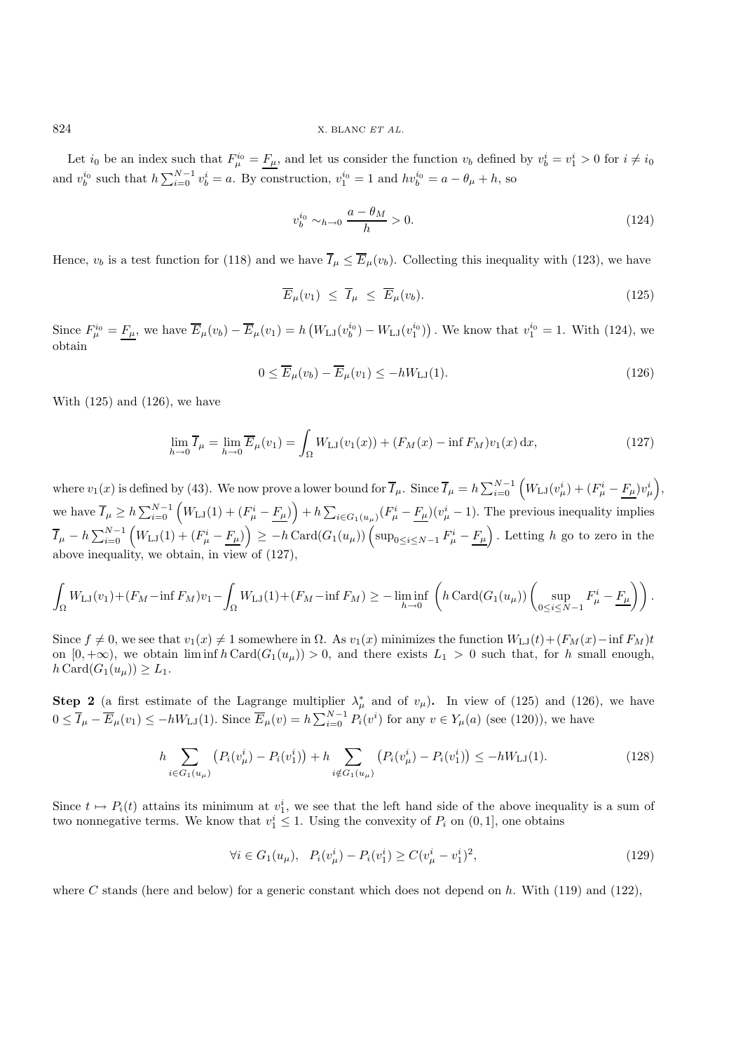Let  $i_0$  be an index such that  $F_{\mu}^{i_0} = F_{\mu}$ , and let us consider the function  $v_b$  defined by  $v_b^i = v_1^i > 0$  for  $i \neq i_0$ and  $v_b^{i_0}$  such that  $h \sum_{i=0}^{N-1} v_b^i = a$ . By construction,  $v_1^{i_0} = 1$  and  $hv_b^{i_0} = a - \theta_\mu + h$ , so

$$
v_b^{i_0} \sim_{h \to 0} \frac{a - \theta_M}{h} > 0. \tag{124}
$$

Hence,  $v_b$  is a test function for (118) and we have  $\overline{I}_{\mu} \leq \overline{E}_{\mu}(v_b)$ . Collecting this inequality with (123), we have

$$
\overline{E}_{\mu}(v_1) \leq \overline{I}_{\mu} \leq \overline{E}_{\mu}(v_b). \tag{125}
$$

Since  $F_{\mu}^{i_0} = \underline{F}_{\mu}$ , we have  $\overline{E}_{\mu}(v_b) - \overline{E}_{\mu}(v_1) = h\left(W_{\text{LJ}}(v_b^{i_0}) - W_{\text{LJ}}(v_1^{i_0})\right)$ . We know that  $v_1^{i_0} = 1$ . With (124), we obtain obtain

$$
0 \le \overline{E}_{\mu}(v_b) - \overline{E}_{\mu}(v_1) \le -hW_{\mathrm{LJ}}(1). \tag{126}
$$

With  $(125)$  and  $(126)$ , we have

$$
\lim_{h \to 0} \overline{I}_{\mu} = \lim_{h \to 0} \overline{E}_{\mu}(v_1) = \int_{\Omega} W_{\text{LJ}}(v_1(x)) + (F_M(x) - \inf F_M)v_1(x) dx,
$$
\n(127)

where  $v_1(x)$  is defined by (43). We now prove a lower bound for  $\overline{I}_{\mu}$ . Since  $\overline{I}_{\mu} = h \sum_{i=0}^{N-1} (W_{\text{LJ}}(v_{\mu}^i) + (F_{\mu}^i - F_{\mu})v_{\mu}^i)$ , we have  $\overline{I}_{\mu} \geq h \sum_{i=0}^{N-1} \left( W_{\text{LJ}}(1) + \left( F_{\mu}^i - F_{\mu} \right) \right) + h \sum_{i \in G_1(u_{\mu})} \left( F_{\mu}^i - F_{\mu} \right) (v_{\mu}^i - 1)$ . The previous inequality implies  $\overline{I}_{\mu} - h \sum_{i=0}^{N-1} \left( W_{\text{LJ}}(1) + (F_{\mu}^i - \underline{F_{\mu}}) \right) \ge -h \operatorname{Card}(G_1(u_{\mu})) \left( \sup_{0 \le i \le N-1} F_{\mu}^i - \underline{F_{\mu}} \right)$ . Letting h go to zero in the above inequality, we obtain, in view of (127),

$$
\int_{\Omega} W_{\mathrm{LJ}}(v_1) + (F_M - \inf F_M)v_1 - \int_{\Omega} W_{\mathrm{LJ}}(1) + (F_M - \inf F_M) \ge -\liminf_{h \to 0} \left( h \operatorname{Card}(G_1(u_\mu)) \left( \sup_{0 \le i \le N-1} F_\mu^i - \underline{F_\mu} \right) \right).
$$

Since  $f \neq 0$ , we see that  $v_1(x) \neq 1$  somewhere in  $\Omega$ . As  $v_1(x)$  minimizes the function  $W_{LJ}(t)+(F_M(x)-\inf F_M)t$ on  $[0, +\infty)$ , we obtain  $\liminf h \text{Card}(G_1(u_\mu)) > 0$ , and there exists  $L_1 > 0$  such that, for h small enough,  $h \, \text{Card}(G_1(u_\mu)) \geq L_1.$ 

**Step 2** (a first estimate of the Lagrange multiplier  $\lambda^*_{\mu}$  and of  $v_{\mu}$ ). In view of (125) and (126), we have  $0 \leq \overline{I}_{\mu} - \overline{E}_{\mu}(v_1) \leq -hW_{\mathrm{LJ}}(1)$ . Since  $\overline{E}_{\mu}(v) = h\sum_{i=0}^{N-1} P_i(v^i)$  for any  $v \in Y_{\mu}(a)$  (see (120)), we have

$$
h \sum_{i \in G_1(u_\mu)} \left( P_i(v_\mu^i) - P_i(v_1^i) \right) + h \sum_{i \notin G_1(u_\mu)} \left( P_i(v_\mu^i) - P_i(v_1^i) \right) \le -hW_{\text{LJ}}(1). \tag{128}
$$

Since  $t \mapsto P_i(t)$  attains its minimum at  $v_1^i$ , we see that the left hand side of the above inequality is a sum of two nonnegative terms. We know that  $v_i^i \leq 1$ . Using the convexity of  $P_i$  on (0, 1), one obtains two nonnegative terms. We know that  $v_1^i \leq 1$ . Using the convexity of  $P_i$  on  $(0, 1]$ , one obtains

$$
\forall i \in G_1(u_\mu), \quad P_i(v_\mu^i) - P_i(v_1^i) \ge C(v_\mu^i - v_1^i)^2,\tag{129}
$$

where C stands (here and below) for a generic constant which does not depend on h. With (119) and (122),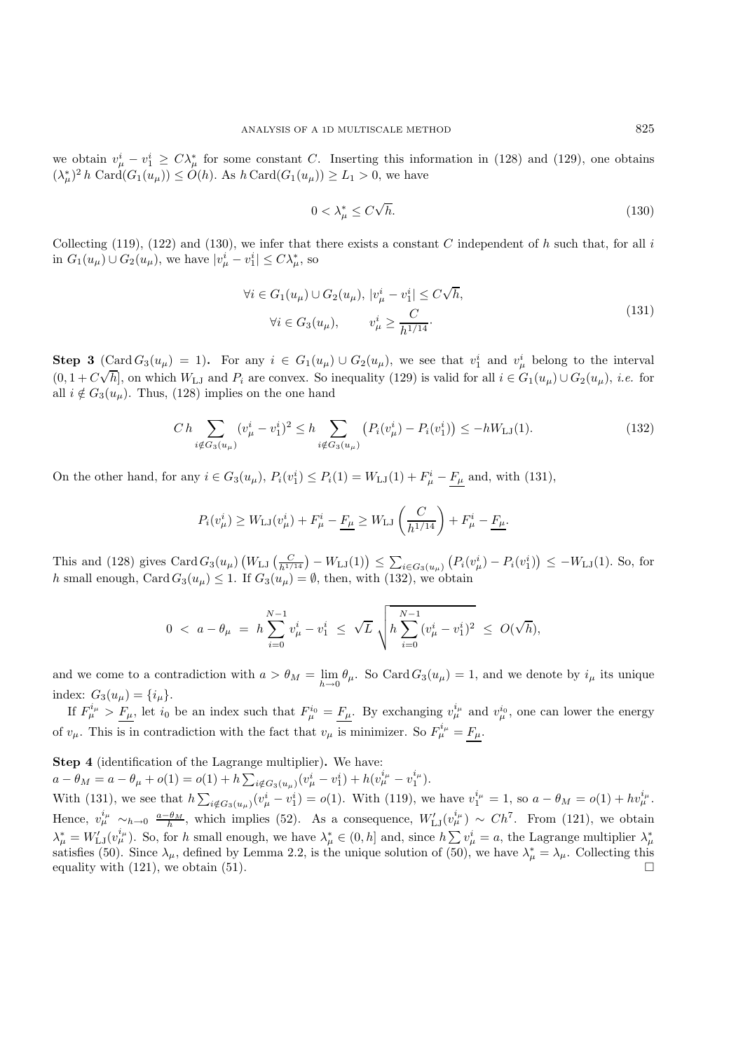we obtain  $v^i_\mu - v^i_1 \geq C\lambda^*_{\mu}$  for some constant C. Inserting this information in (128) and (129), one obtains  $(\lambda^*)^2 k \text{ Gord}(C(\mu)) \geq C(k)$ . As  $k \text{ Gord}(C(\mu)) \geq I \geq 0$  we have  $(\lambda_{\mu}^*)^2 h \operatorname{Card}(G_1(u_{\mu})) \leq O(h)$ . As  $h \operatorname{Card}(G_1(u_{\mu})) \geq L_1 > 0$ , we have

$$
0 < \lambda_{\mu}^* \le C\sqrt{h}.\tag{130}
$$

Collecting (119), (122) and (130), we infer that there exists a constant C independent of h such that, for all i in  $G_1(u_\mu) \cup G_2(u_\mu)$ , we have  $|v^i_\mu - v^i_1| \le C\lambda^*_\mu$ , so

$$
\forall i \in G_1(u_\mu) \cup G_2(u_\mu), \ |v_\mu^i - v_1^i| \le C\sqrt{h},
$$
  

$$
\forall i \in G_3(u_\mu), \qquad v_\mu^i \ge \frac{C}{h^{1/14}}.
$$
 (131)

**Step 3** (Card  $G_3(u_\mu) = 1$ ). For any  $i \in G_1(u_\mu) \cup G_2(u_\mu)$ , we see that  $v_1^i$  and  $v_\mu^i$  belong to the interval  $(0, 1 + C\sqrt{h}]$ , on which  $W_{LJ}$  and  $P_i$  are convex. So inequality (129) is valid for all  $i \in G_1(u_\mu) \cup G_2(u_\mu)$ , *i.e.* for all  $i \notin G_2(u)$ . Thus (128) implies on the one hand all  $i \notin G_3(u_\mu)$ . Thus, (128) implies on the one hand

$$
Ch\sum_{i \notin G_3(u_\mu)} (v_\mu^i - v_1^i)^2 \le h \sum_{i \notin G_3(u_\mu)} \left( P_i(v_\mu^i) - P_i(v_1^i) \right) \le -hW_{\text{LJ}}(1). \tag{132}
$$

On the other hand, for any  $i \in G_3(u_\mu)$ ,  $P_i(v_1^i) \le P_i(1) = W_{LJ}(1) + F_\mu^i - \underline{F_\mu}$  and, with (131),

$$
P_i(v^i_\mu) \ge W_{\text{LJ}}(v^i_\mu) + F^i_\mu - \underline{F_\mu} \ge W_{\text{LJ}}\left(\frac{C}{h^{1/14}}\right) + F^i_\mu - \underline{F_\mu}.
$$

This and (128) gives  $Card G_3(u_\mu) (W_{LJ}(\frac{C}{h^{1/14}}) - W_{LJ}(1)) \le \sum_{i \in G_3(u_\mu)} (P_i(v_\mu^i) - P_i(v_1^i)) \le -W_{LJ}(1)$ . So, for h small enough, Card  $G_3(u_\mu) \leq 1$ . If  $G_3(u_\mu) = \emptyset$ , then, with (132), we obtain

$$
0 < a - \theta_{\mu} = h \sum_{i=0}^{N-1} v_{\mu}^{i} - v_{1}^{i} \leq \sqrt{L} \sqrt{h \sum_{i=0}^{N-1} (v_{\mu}^{i} - v_{1}^{i})^{2}} \leq O(\sqrt{h}),
$$

and we come to a contradiction with  $a > \theta_M = \lim_{h \to 0} \theta_\mu$ . So Card  $G_3(u_\mu) = 1$ , and we denote by  $i_\mu$  its unique index:  $G_2(u_\mu) = I_i$ index:  $G_3(u_\mu) = \{i_\mu\}.$ 

If  $F_{\mu}^{i_{\mu}} > F_{\mu}$ , let  $i_0$  be an index such that  $F_{\mu}^{i_0} = F_{\mu}$ . By exchanging  $v_{\mu}^{i_{\mu}}$  and  $v_{\mu}^{i_0}$ , one can lower the energy of  $v_{\mu}$ . This is in contradiction with the fact that  $v_{\mu}$  is minimizer. So  $F_{\mu}^{i_{\mu}} = \underline{F_{\mu}}$ .

**Step 4** (identification of the Lagrange multiplier)**.** We have:

 $a - \theta_M = a - \theta_\mu + o(1) = o(1) + h \sum_{i \notin G_3(u_\mu)} (v_\mu^i - v_1^i) + h(v_\mu^{i_\mu} - v_1^{i_\mu}).$ With (131), we see that  $h \sum_{i \notin G_3(u_\mu)} (v_\mu^i - v_1^i) = o(1)$ . With (119), we have  $v_1^{i_\mu} = 1$ , so  $a - \theta_M = o(1) + h v_\mu^{i_\mu}$ . Hence,  $v^{\mu}_{\mu} \sim_{h \to 0} \frac{a - \theta_M}{h}$ , which implies (52). As a consequence,  $W'_{\text{LJ}}(v^{\mu}_{\mu}) \sim Ch^7$ . From (121), we obtain  $\lambda^*_{\mu} = W_{\text{LJ}}'(v^{\nu_{\mu}}_{\mu})$ . So, for h small enough, we have  $\lambda^*_{\mu} \in (0, h]$  and, since  $h \sum v^i_{\mu} = a$ , the Lagrange multiplier  $\lambda^*_{\mu}$ <br>satisfies (50). Since  $\lambda$  defined by Lemma 2.2 is the unique solution of ( satisfies (50). Since  $\lambda_{\mu}$ , defined by Lemma 2.2, is the unique solution of (50), we have  $\lambda_{\mu}^{*} = \lambda_{\mu}$ . Collecting this equality with (121), we obtain (51).